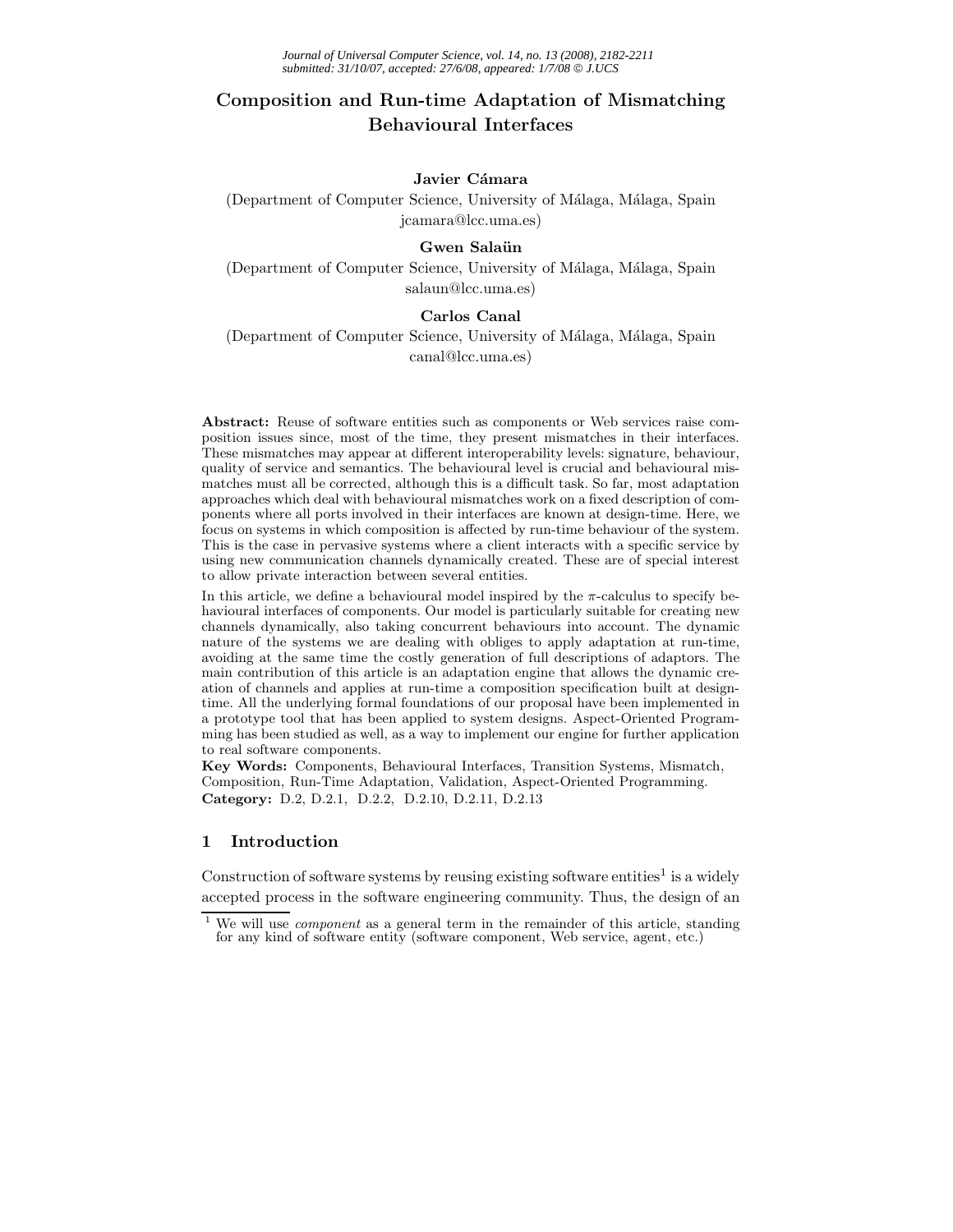# **Composition and Run-time Adaptation of Mismatching Behavioural Interfaces**

## Javier Cámara

(Department of Computer Science, University of Málaga, Málaga, Spain jcamara@lcc.uma.es)

## Gwen Salaün

(Department of Computer Science, University of Málaga, Málaga, Spain salaun@lcc.uma.es)

## **Carlos Canal**

(Department of Computer Science, University of Málaga, Málaga, Spain canal@lcc.uma.es)

**Abstract:** Reuse of software entities such as components or Web services raise composition issues since, most of the time, they present mismatches in their interfaces. These mismatches may appear at different interoperability levels: signature, behaviour, quality of service and semantics. The behavioural level is crucial and behavioural mismatches must all be corrected, although this is a difficult task. So far, most adaptation approaches which deal with behavioural mismatches work on a fixed description of components where all ports involved in their interfaces are known at design-time. Here, we focus on systems in which composition is affected by run-time behaviour of the system. This is the case in pervasive systems where a client interacts with a specific service by using new communication channels dynamically created. These are of special interest to allow private interaction between several entities.

In this article, we define a behavioural model inspired by the  $\pi$ -calculus to specify behavioural interfaces of components. Our model is particularly suitable for creating new channels dynamically, also taking concurrent behaviours into account. The dynamic nature of the systems we are dealing with obliges to apply adaptation at run-time, avoiding at the same time the costly generation of full descriptions of adaptors. The main contribution of this article is an adaptation engine that allows the dynamic creation of channels and applies at run-time a composition specification built at designtime. All the underlying formal foundations of our proposal have been implemented in a prototype tool that has been applied to system designs. Aspect-Oriented Programming has been studied as well, as a way to implement our engine for further application to real software components.

**Key Words:** Components, Behavioural Interfaces, Transition Systems, Mismatch, Composition, Run-Time Adaptation, Validation, Aspect-Oriented Programming. **Category:** D.2, D.2.1, D.2.2, D.2.10, D.2.11, D.2.13

#### **1 Introduction**

Construction of software systems by reusing existing software entities<sup>1</sup> is a widely accepted process in the software engineering community. Thus, the design of an

We will use *component* as a general term in the remainder of this article, standing for any kind of software entity (software component, Web service, agent, etc.)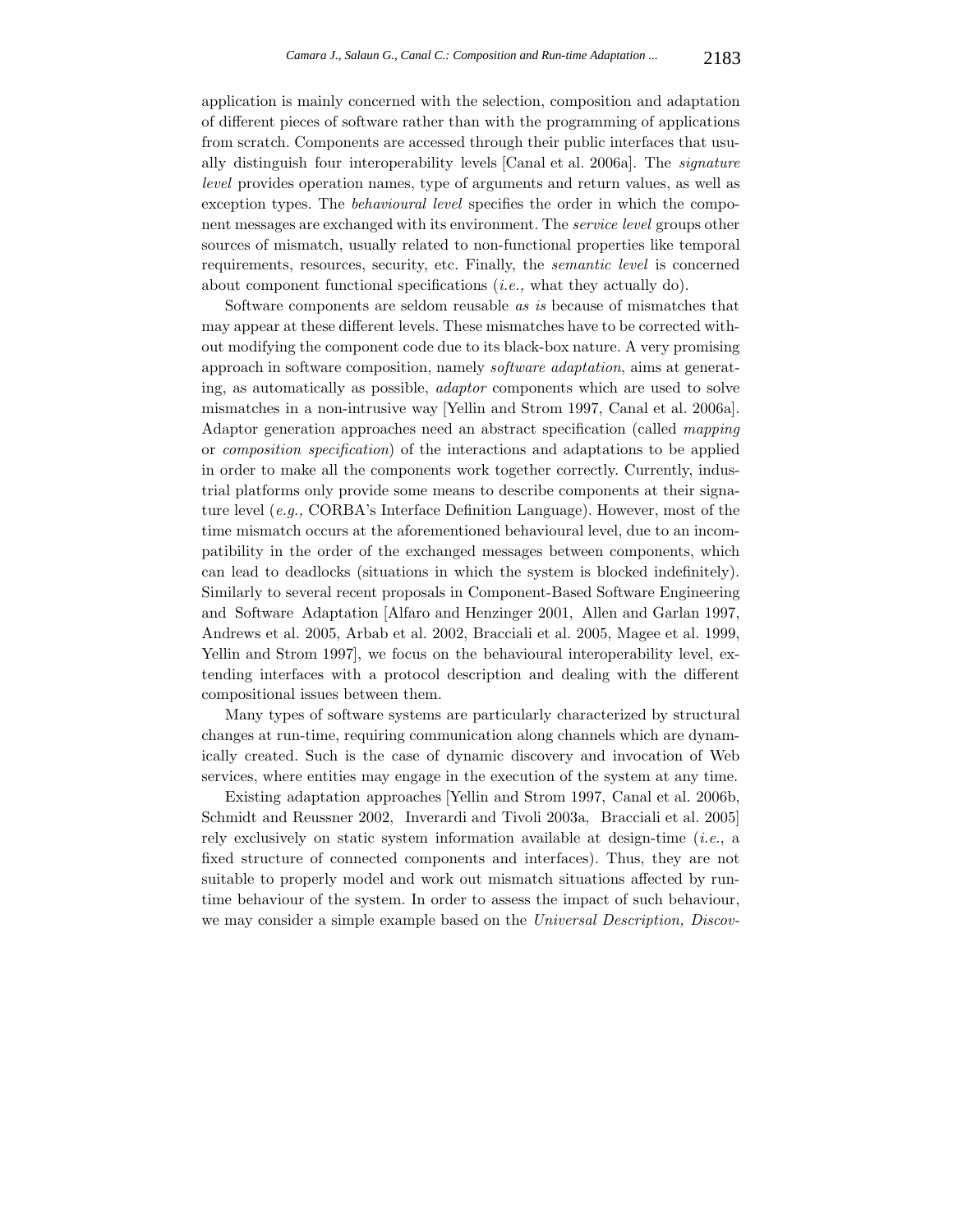application is mainly concerned with the selection, composition and adaptation of different pieces of software rather than with the programming of applications from scratch. Components are accessed through their public interfaces that usually distinguish four interoperability levels [Canal et al. 2006a]. The *signature level* provides operation names, type of arguments and return values, as well as exception types. The *behavioural level* specifies the order in which the component messages are exchanged with its environment. The *service level* groups other sources of mismatch, usually related to non-functional properties like temporal requirements, resources, security, etc. Finally, the *semantic level* is concerned about component functional specifications (*i.e.,* what they actually do).

Software components are seldom reusable *as is* because of mismatches that may appear at these different levels. These mismatches have to be corrected without modifying the component code due to its black-box nature. A very promising approach in software composition, namely *software adaptation*, aims at generating, as automatically as possible, *adaptor* components which are used to solve mismatches in a non-intrusive way [Yellin and Strom 1997, Canal et al. 2006a]. Adaptor generation approaches need an abstract specification (called *mapping* or *composition specification*) of the interactions and adaptations to be applied in order to make all the components work together correctly. Currently, industrial platforms only provide some means to describe components at their signature level (*e.g.,* CORBA's Interface Definition Language). However, most of the time mismatch occurs at the aforementioned behavioural level, due to an incompatibility in the order of the exchanged messages between components, which can lead to deadlocks (situations in which the system is blocked indefinitely). Similarly to several recent proposals in Component-Based Software Engineering and Software Adaptation [Alfaro and Henzinger 2001, Allen and Garlan 1997, Andrews et al. 2005, Arbab et al. 2002, Bracciali et al. 2005, Magee et al. 1999, Yellin and Strom 1997], we focus on the behavioural interoperability level, extending interfaces with a protocol description and dealing with the different compositional issues between them.

Many types of software systems are particularly characterized by structural changes at run-time, requiring communication along channels which are dynamically created. Such is the case of dynamic discovery and invocation of Web services, where entities may engage in the execution of the system at any time.

Existing adaptation approaches [Yellin and Strom 1997, Canal et al. 2006b, Schmidt and Reussner 2002, Inverardi and Tivoli 2003a, Bracciali et al. 2005] rely exclusively on static system information available at design-time (*i.e.*, a fixed structure of connected components and interfaces). Thus, they are not suitable to properly model and work out mismatch situations affected by runtime behaviour of the system. In order to assess the impact of such behaviour, we may consider a simple example based on the *Universal Description, Discov-*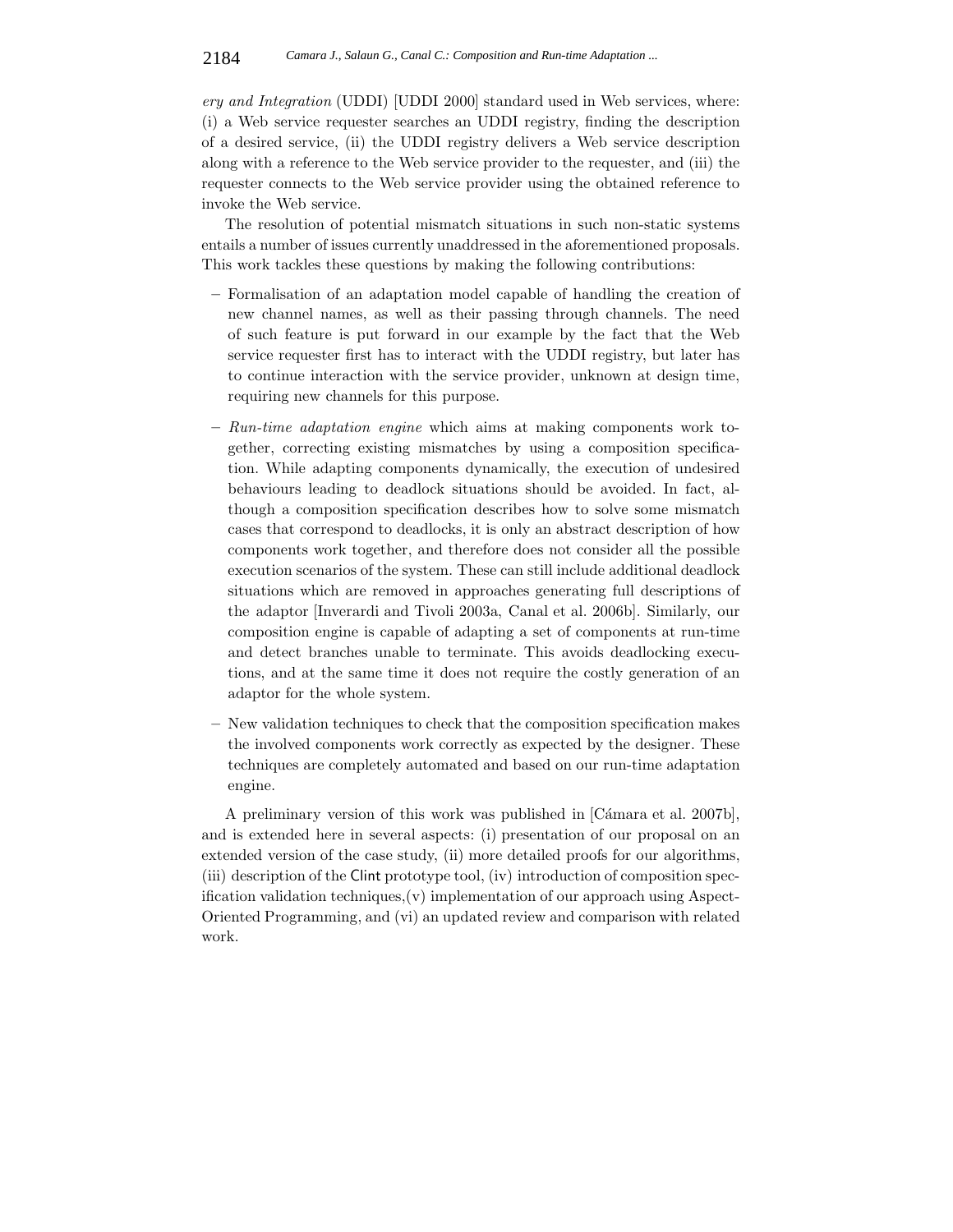*ery and Integration* (UDDI) [UDDI 2000] standard used in Web services, where: (i) a Web service requester searches an UDDI registry, finding the description of a desired service, (ii) the UDDI registry delivers a Web service description along with a reference to the Web service provider to the requester, and (iii) the requester connects to the Web service provider using the obtained reference to invoke the Web service.

The resolution of potential mismatch situations in such non-static systems entails a number of issues currently unaddressed in the aforementioned proposals. This work tackles these questions by making the following contributions:

- **–** Formalisation of an adaptation model capable of handling the creation of new channel names, as well as their passing through channels. The need of such feature is put forward in our example by the fact that the Web service requester first has to interact with the UDDI registry, but later has to continue interaction with the service provider, unknown at design time, requiring new channels for this purpose.
- **–** *Run-time adaptation engine* which aims at making components work together, correcting existing mismatches by using a composition specification. While adapting components dynamically, the execution of undesired behaviours leading to deadlock situations should be avoided. In fact, although a composition specification describes how to solve some mismatch cases that correspond to deadlocks, it is only an abstract description of how components work together, and therefore does not consider all the possible execution scenarios of the system. These can still include additional deadlock situations which are removed in approaches generating full descriptions of the adaptor [Inverardi and Tivoli 2003a, Canal et al. 2006b]. Similarly, our composition engine is capable of adapting a set of components at run-time and detect branches unable to terminate. This avoids deadlocking executions, and at the same time it does not require the costly generation of an adaptor for the whole system.
- **–** New validation techniques to check that the composition specification makes the involved components work correctly as expected by the designer. These techniques are completely automated and based on our run-time adaptation engine.

A preliminary version of this work was published in [Cámara et al. 2007b], and is extended here in several aspects: (i) presentation of our proposal on an extended version of the case study, (ii) more detailed proofs for our algorithms, (iii) description of the Clint prototype tool, (iv) introduction of composition specification validation techniques,(v) implementation of our approach using Aspect-Oriented Programming, and (vi) an updated review and comparison with related work.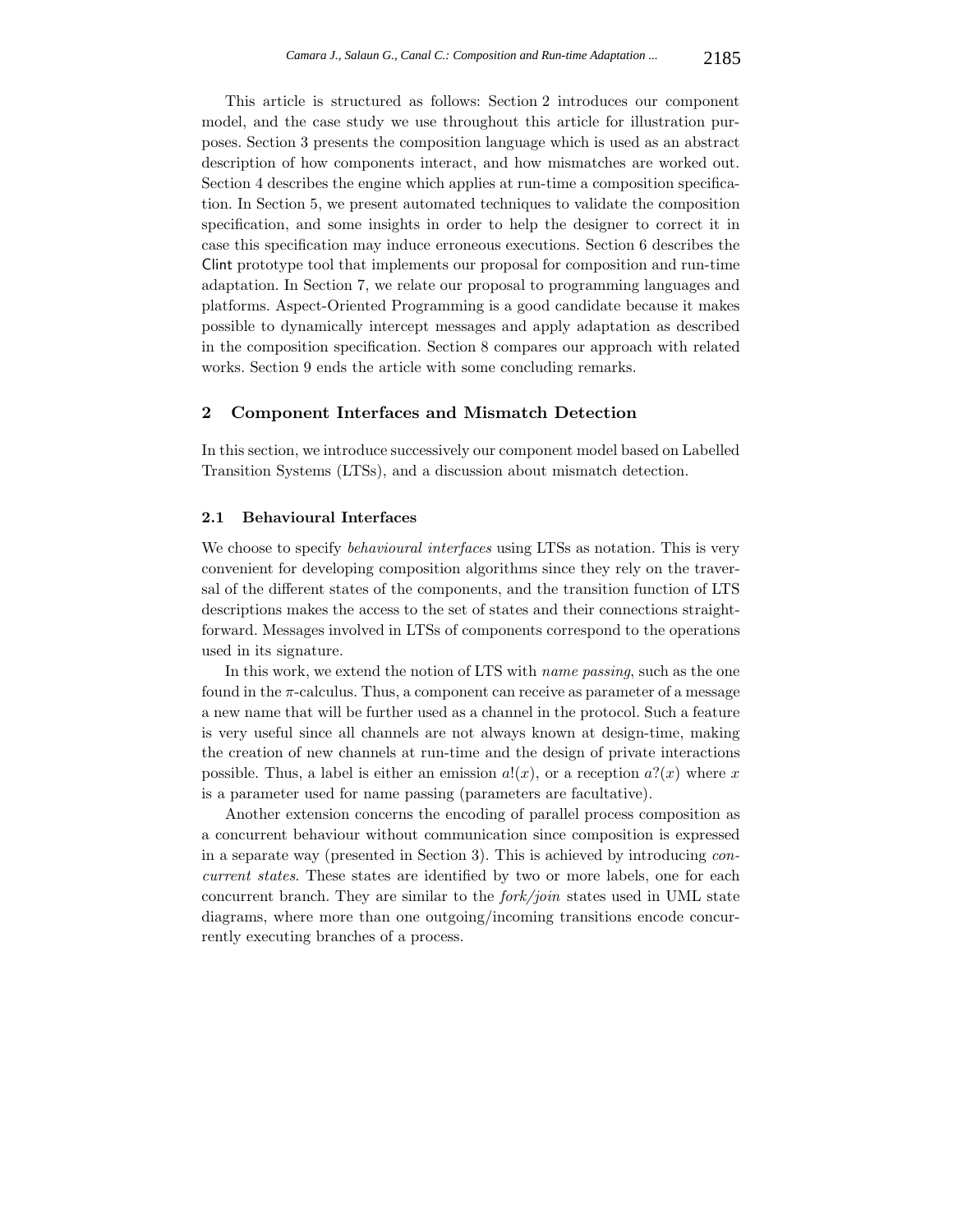This article is structured as follows: Section 2 introduces our component model, and the case study we use throughout this article for illustration purposes. Section 3 presents the composition language which is used as an abstract description of how components interact, and how mismatches are worked out. Section 4 describes the engine which applies at run-time a composition specification. In Section 5, we present automated techniques to validate the composition specification, and some insights in order to help the designer to correct it in case this specification may induce erroneous executions. Section 6 describes the Clint prototype tool that implements our proposal for composition and run-time adaptation. In Section 7, we relate our proposal to programming languages and platforms. Aspect-Oriented Programming is a good candidate because it makes possible to dynamically intercept messages and apply adaptation as described in the composition specification. Section 8 compares our approach with related works. Section 9 ends the article with some concluding remarks.

#### **2 Component Interfaces and Mismatch Detection**

In this section, we introduce successively our component model based on Labelled Transition Systems (LTSs), and a discussion about mismatch detection.

#### **2.1 Behavioural Interfaces**

We choose to specify *behavioural interfaces* using LTSs as notation. This is very convenient for developing composition algorithms since they rely on the traversal of the different states of the components, and the transition function of LTS descriptions makes the access to the set of states and their connections straightforward. Messages involved in LTSs of components correspond to the operations used in its signature.

In this work, we extend the notion of LTS with *name passing*, such as the one found in the  $\pi$ -calculus. Thus, a component can receive as parameter of a message a new name that will be further used as a channel in the protocol. Such a feature is very useful since all channels are not always known at design-time, making the creation of new channels at run-time and the design of private interactions possible. Thus, a label is either an emission  $a!(x)$ , or a reception  $a?(x)$  where x is a parameter used for name passing (parameters are facultative).

Another extension concerns the encoding of parallel process composition as a concurrent behaviour without communication since composition is expressed in a separate way (presented in Section 3). This is achieved by introducing *concurrent states*. These states are identified by two or more labels, one for each concurrent branch. They are similar to the *fork/join* states used in UML state diagrams, where more than one outgoing/incoming transitions encode concurrently executing branches of a process.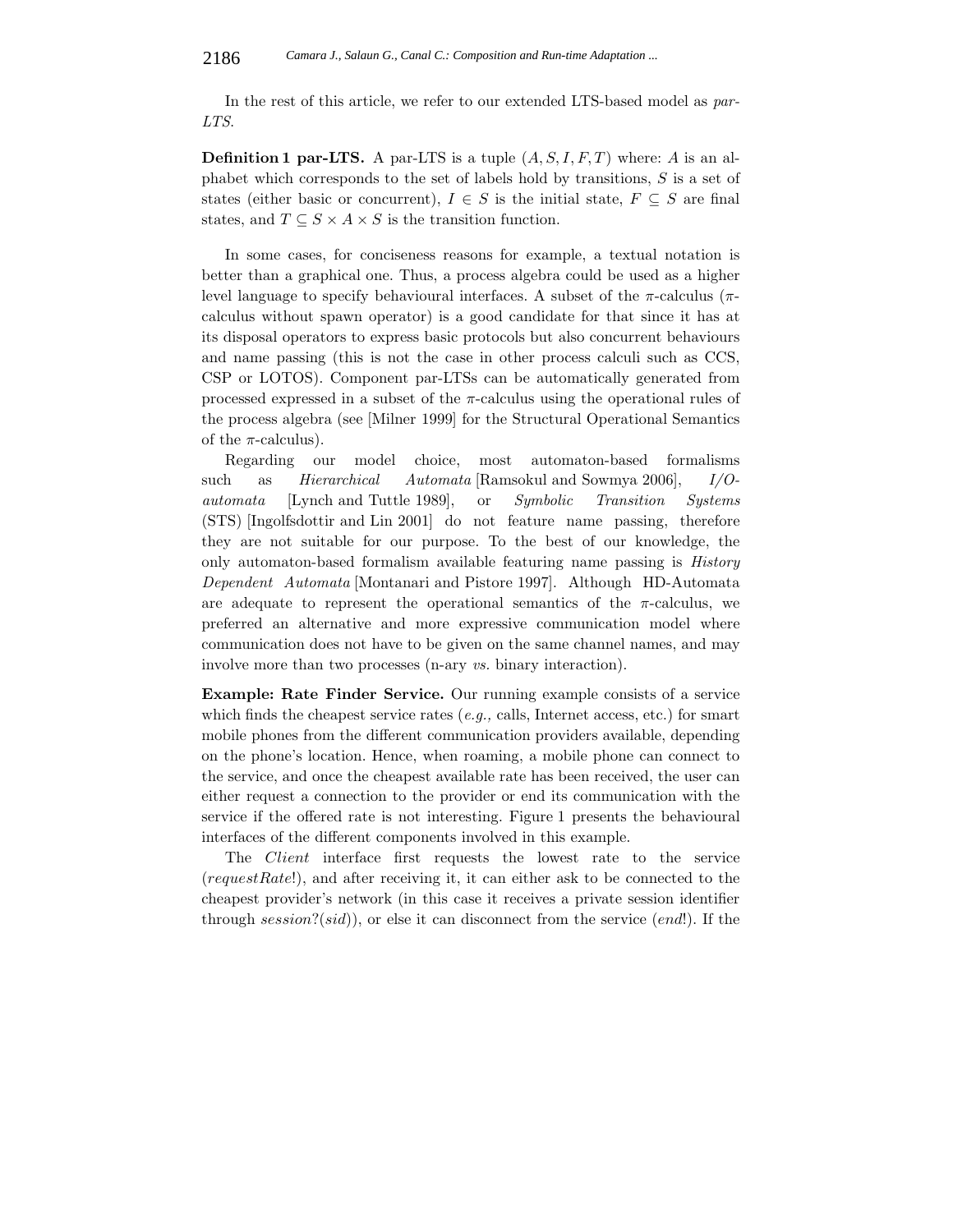In the rest of this article, we refer to our extended LTS-based model as *par-LTS*.

**Definition 1 par-LTS.** A par-LTS is a tuple  $(A, S, I, F, T)$  where: A is an alphabet which corresponds to the set of labels hold by transitions,  $S$  is a set of states (either basic or concurrent),  $I \in S$  is the initial state,  $F \subseteq S$  are final states, and  $T \subseteq S \times A \times S$  is the transition function.

In some cases, for conciseness reasons for example, a textual notation is better than a graphical one. Thus, a process algebra could be used as a higher level language to specify behavioural interfaces. A subset of the  $\pi$ -calculus ( $\pi$ calculus without spawn operator) is a good candidate for that since it has at its disposal operators to express basic protocols but also concurrent behaviours and name passing (this is not the case in other process calculi such as CCS, CSP or LOTOS). Component par-LTSs can be automatically generated from processed expressed in a subset of the π-calculus using the operational rules of the process algebra (see [Milner 1999] for the Structural Operational Semantics of the  $\pi$ -calculus).

Regarding our model choice, most automaton-based formalisms such as *Hierarchical Automata* [Ramsokul and Sowmya 2006], *I/Oautomata* [Lynch and Tuttle 1989], or *Symbolic Transition Systems* (STS) [Ingolfsdottir and Lin 2001] do not feature name passing, therefore they are not suitable for our purpose. To the best of our knowledge, the only automaton-based formalism available featuring name passing is *History Dependent Automata* [Montanari and Pistore 1997]. Although HD-Automata are adequate to represent the operational semantics of the  $\pi$ -calculus, we preferred an alternative and more expressive communication model where communication does not have to be given on the same channel names, and may involve more than two processes (n-ary *vs.* binary interaction).

**Example: Rate Finder Service.** Our running example consists of a service which finds the cheapest service rates (*e.g.,* calls, Internet access, etc.) for smart mobile phones from the different communication providers available, depending on the phone's location. Hence, when roaming, a mobile phone can connect to the service, and once the cheapest available rate has been received, the user can either request a connection to the provider or end its communication with the service if the offered rate is not interesting. Figure 1 presents the behavioural interfaces of the different components involved in this example.

The Client interface first requests the lowest rate to the service (requestRate!), and after receiving it, it can either ask to be connected to the cheapest provider's network (in this case it receives a private session identifier through session?(sid)), or else it can disconnect from the service (end!). If the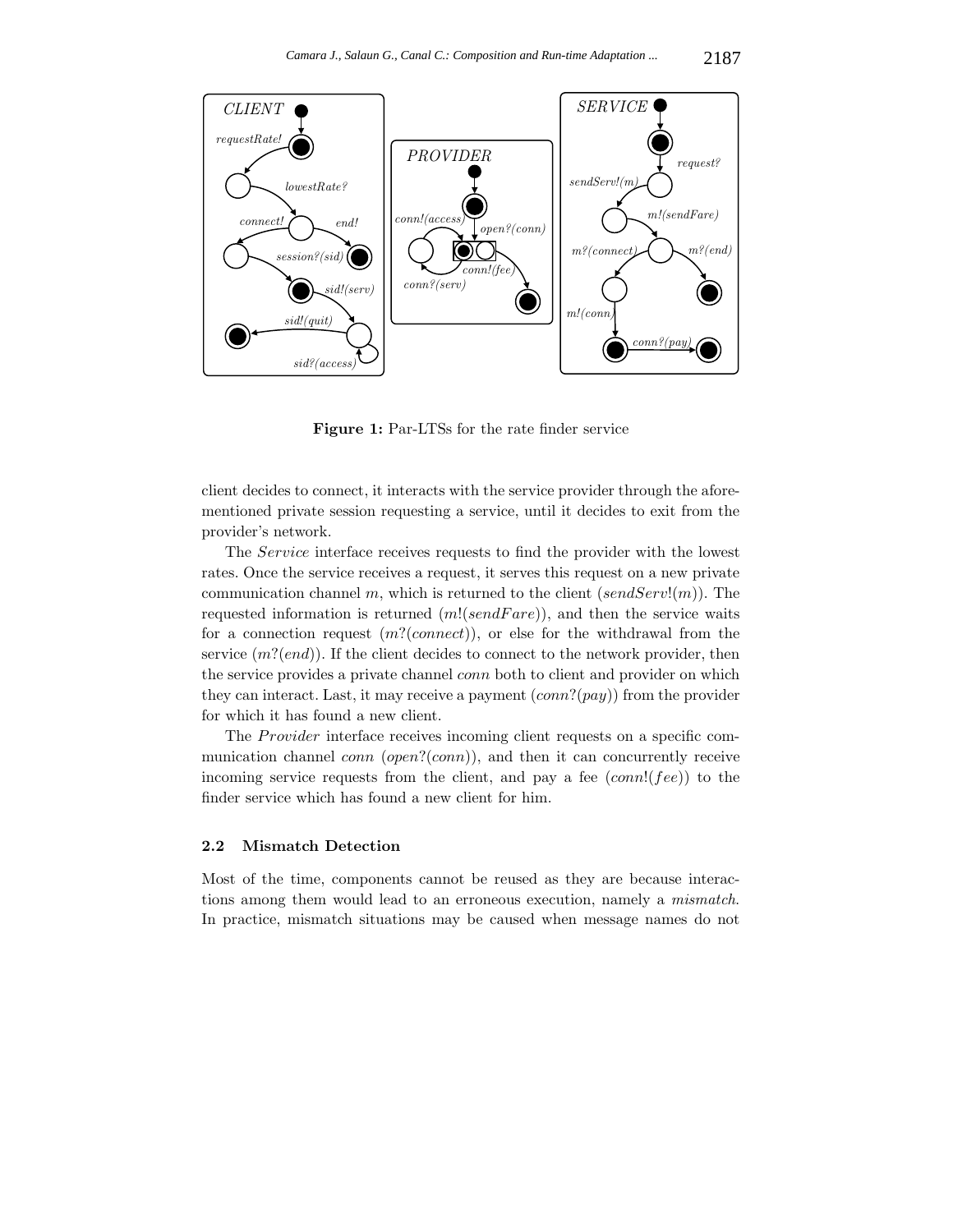

**Figure 1:** Par-LTSs for the rate finder service

client decides to connect, it interacts with the service provider through the aforementioned private session requesting a service, until it decides to exit from the provider's network.

The Service interface receives requests to find the provider with the lowest rates. Once the service receives a request, it serves this request on a new private communication channel m, which is returned to the client  $(sendServ!(m))$ . The requested information is returned  $(m!(sendFare))$ , and then the service waits for a connection request  $(m!(connect))$ , or else for the withdrawal from the service  $(m!(end))$ . If the client decides to connect to the network provider, then the service provides a private channel conn both to client and provider on which they can interact. Last, it may receive a payment  $(conn?(pay))$  from the provider for which it has found a new client.

The *Provider* interface receives incoming client requests on a specific communication channel  $conn (open? (conn)),$  and then it can concurrently receive incoming service requests from the client, and pay a fee  $(conn!(fee))$  to the finder service which has found a new client for him.

#### **2.2 Mismatch Detection**

Most of the time, components cannot be reused as they are because interactions among them would lead to an erroneous execution, namely a *mismatch*. In practice, mismatch situations may be caused when message names do not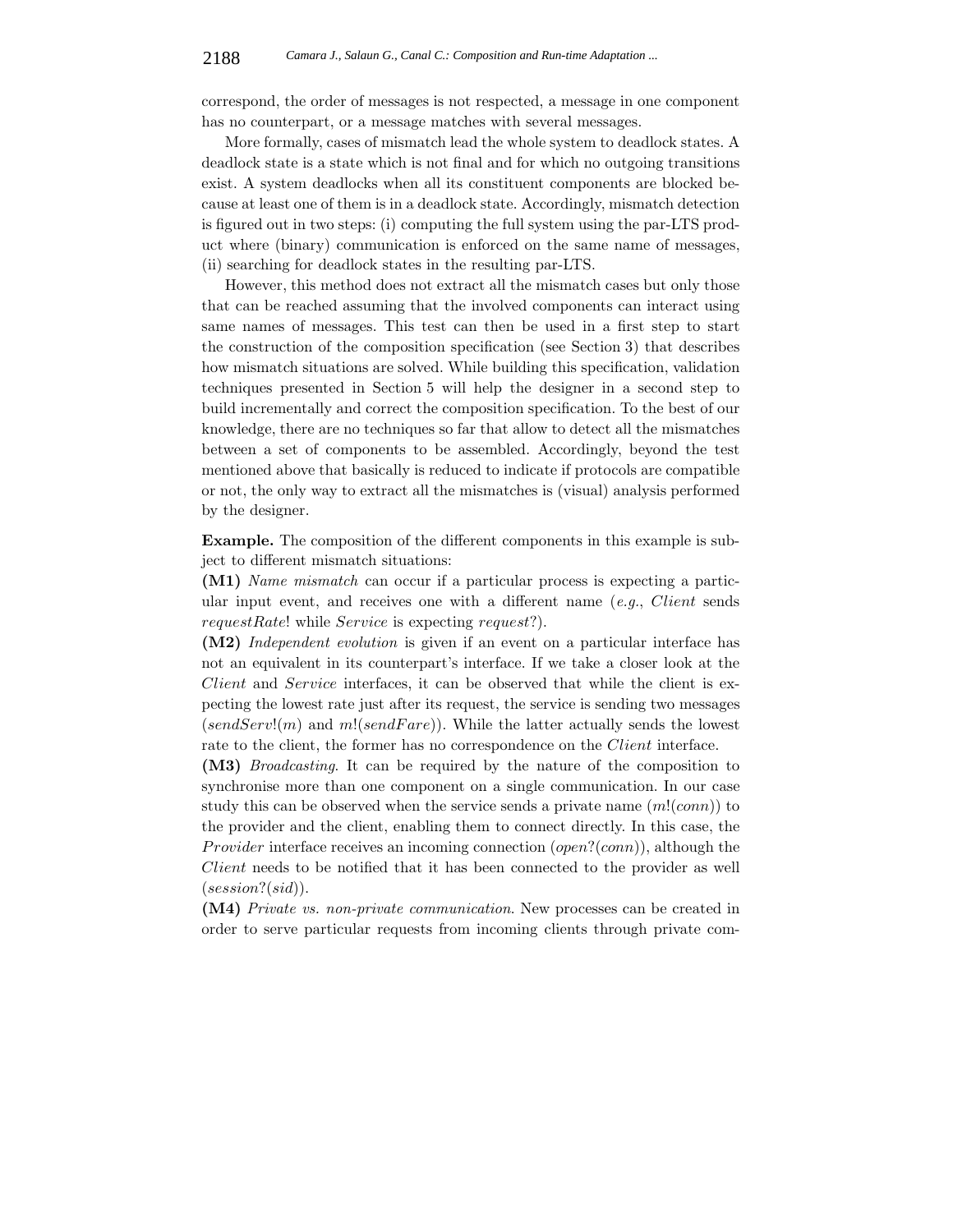correspond, the order of messages is not respected, a message in one component has no counterpart, or a message matches with several messages.

More formally, cases of mismatch lead the whole system to deadlock states. A deadlock state is a state which is not final and for which no outgoing transitions exist. A system deadlocks when all its constituent components are blocked because at least one of them is in a deadlock state. Accordingly, mismatch detection is figured out in two steps: (i) computing the full system using the par-LTS product where (binary) communication is enforced on the same name of messages, (ii) searching for deadlock states in the resulting par-LTS.

However, this method does not extract all the mismatch cases but only those that can be reached assuming that the involved components can interact using same names of messages. This test can then be used in a first step to start the construction of the composition specification (see Section 3) that describes how mismatch situations are solved. While building this specification, validation techniques presented in Section 5 will help the designer in a second step to build incrementally and correct the composition specification. To the best of our knowledge, there are no techniques so far that allow to detect all the mismatches between a set of components to be assembled. Accordingly, beyond the test mentioned above that basically is reduced to indicate if protocols are compatible or not, the only way to extract all the mismatches is (visual) analysis performed by the designer.

**Example.** The composition of the different components in this example is subject to different mismatch situations:

**(M1)** *Name mismatch* can occur if a particular process is expecting a particular input event, and receives one with a different name (*e.g.*, Client sends requestRate! while Service is expecting request?).

**(M2)** *Independent evolution* is given if an event on a particular interface has not an equivalent in its counterpart's interface. If we take a closer look at the Client and Service interfaces, it can be observed that while the client is expecting the lowest rate just after its request, the service is sending two messages  $(sendServ!(m)$  and  $m!(sendFare)$ ). While the latter actually sends the lowest rate to the client, the former has no correspondence on the *Client* interface.

**(M3)** *Broadcasting*. It can be required by the nature of the composition to synchronise more than one component on a single communication. In our case study this can be observed when the service sends a private name  $(m!(conn))$  to the provider and the client, enabling them to connect directly. In this case, the *Provider* interface receives an incoming connection  $(open?(conn)$ , although the Client needs to be notified that it has been connected to the provider as well  $(session?(sid)).$ 

**(M4)** *Private vs. non-private communication*. New processes can be created in order to serve particular requests from incoming clients through private com-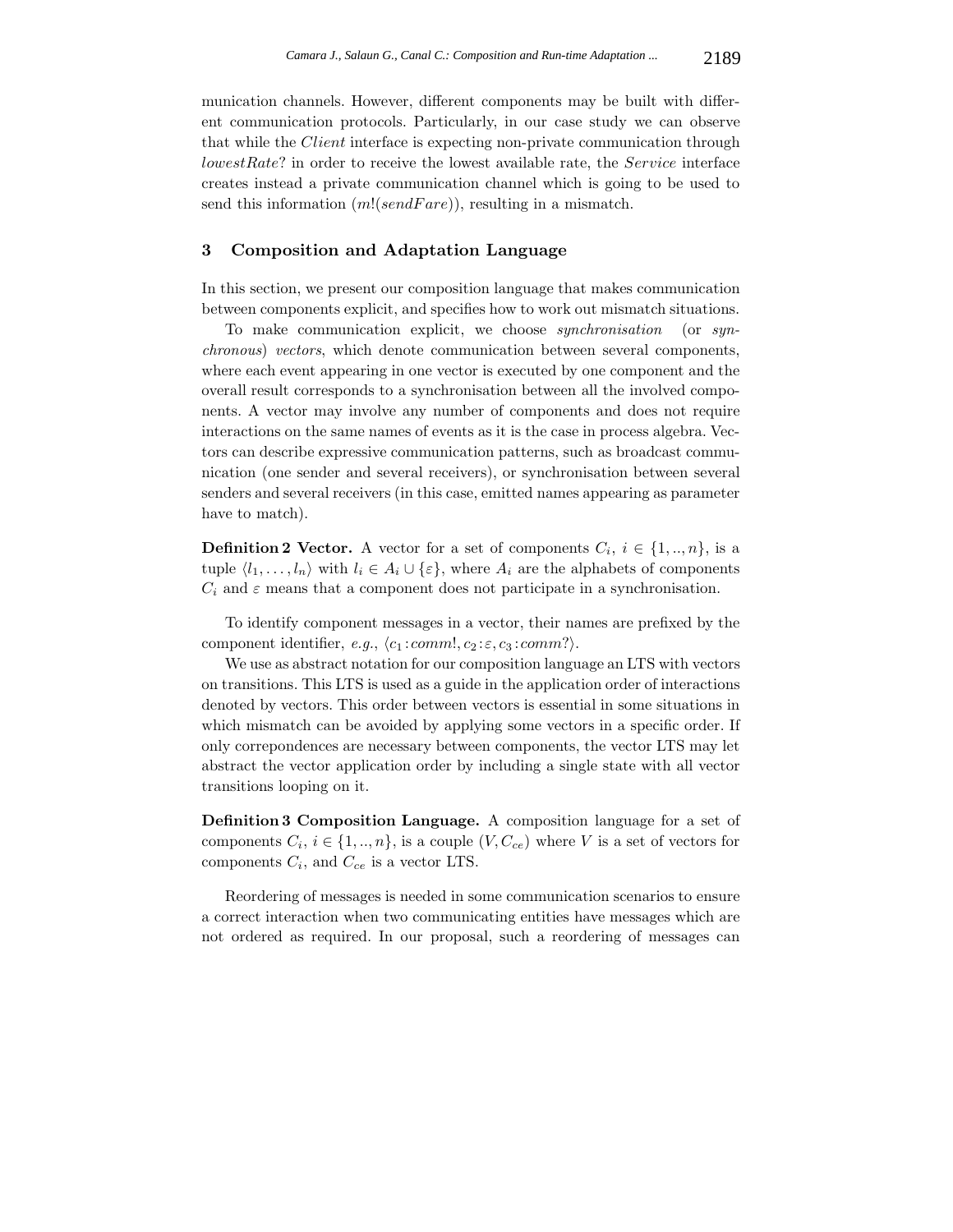munication channels. However, different components may be built with different communication protocols. Particularly, in our case study we can observe that while the Client interface is expecting non-private communication through lowestRate? in order to receive the lowest available rate, the Service interface creates instead a private communication channel which is going to be used to send this information  $(m!(sendFare))$ , resulting in a mismatch.

## **3 Composition and Adaptation Language**

In this section, we present our composition language that makes communication between components explicit, and specifies how to work out mismatch situations.

To make communication explicit, we choose *synchronisation* (or *synchronous*) *vectors*, which denote communication between several components, where each event appearing in one vector is executed by one component and the overall result corresponds to a synchronisation between all the involved components. A vector may involve any number of components and does not require interactions on the same names of events as it is the case in process algebra. Vectors can describe expressive communication patterns, such as broadcast communication (one sender and several receivers), or synchronisation between several senders and several receivers (in this case, emitted names appearing as parameter have to match).

**Definition 2 Vector.** A vector for a set of components  $C_i$ ,  $i \in \{1, ..., n\}$ , is a tuple  $\langle l_1,\ldots,l_n\rangle$  with  $l_i \in A_i \cup \{\varepsilon\}$ , where  $A_i$  are the alphabets of components  $C_i$  and  $\varepsilon$  means that a component does not participate in a synchronisation.

To identify component messages in a vector, their names are prefixed by the component identifier, *e.g.*,  $\langle c_1 : comm, c_2 : \varepsilon, c_3 : comm \rangle$ .

We use as abstract notation for our composition language an LTS with vectors on transitions. This LTS is used as a guide in the application order of interactions denoted by vectors. This order between vectors is essential in some situations in which mismatch can be avoided by applying some vectors in a specific order. If only correpondences are necessary between components, the vector LTS may let abstract the vector application order by including a single state with all vector transitions looping on it.

**Definition 3 Composition Language.** A composition language for a set of components  $C_i$ ,  $i \in \{1, ..., n\}$ , is a couple  $(V, C_{ce})$  where V is a set of vectors for components C*i*, and C*ce* is a vector LTS.

Reordering of messages is needed in some communication scenarios to ensure a correct interaction when two communicating entities have messages which are not ordered as required. In our proposal, such a reordering of messages can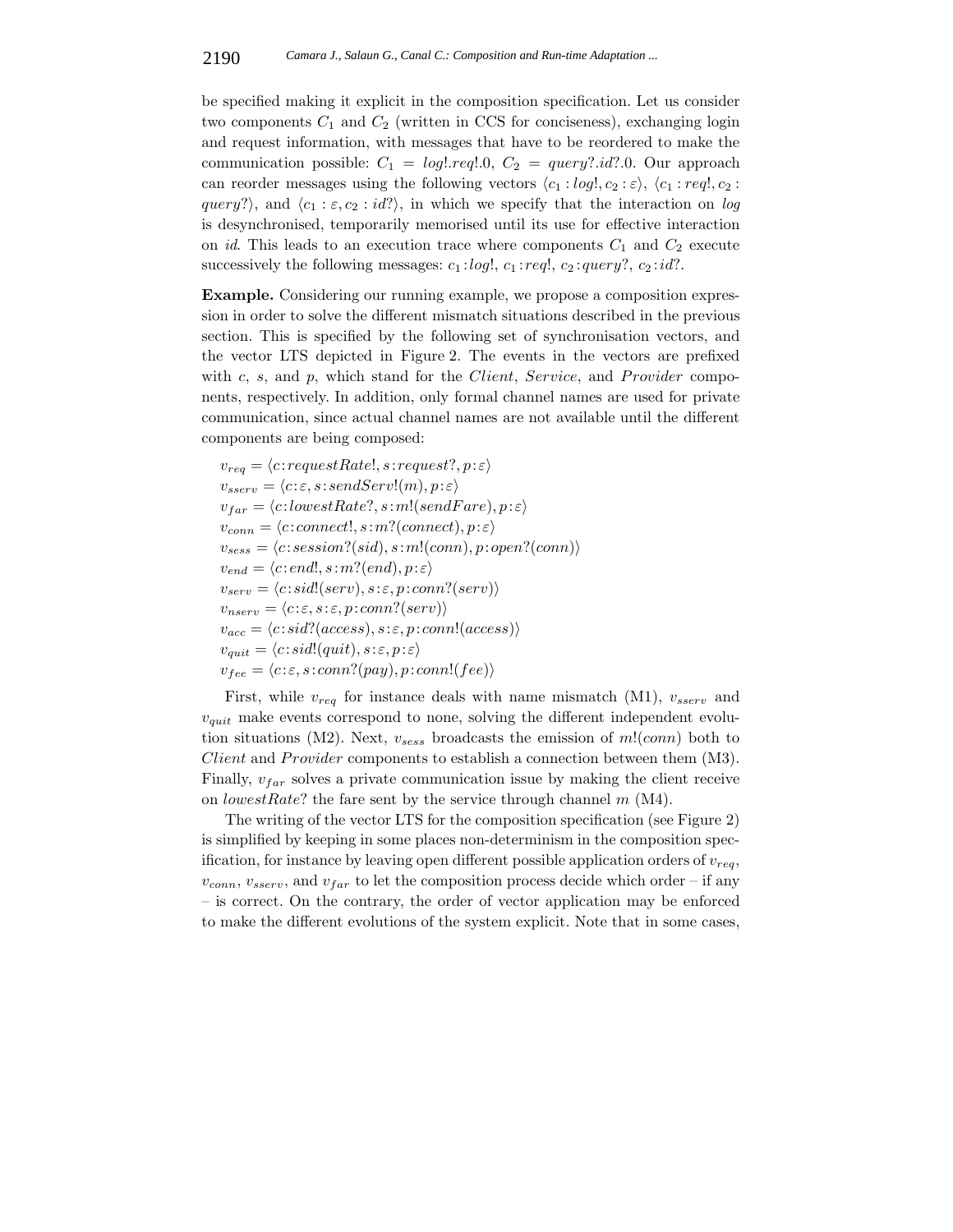be specified making it explicit in the composition specification. Let us consider two components  $C_1$  and  $C_2$  (written in CCS for conciseness), exchanging login and request information, with messages that have to be reordered to make the communication possible:  $C_1 = log1 \nvert .req1 \rvert .0, C_2 = query? \nvert .id? \rvert .0.$  Our approach can reorder messages using the following vectors  $\langle c_1 : log, c_2 : \varepsilon \rangle$ ,  $\langle c_1 : reg, c_2 : \varepsilon \rangle$ query?), and  $\langle c_1 : \varepsilon, c_2 : id \rangle$ , in which we specify that the interaction on *log* is desynchronised, temporarily memorised until its use for effective interaction on *id*. This leads to an execution trace where components  $C_1$  and  $C_2$  execute successively the following messages:  $c_1 : log!$ ,  $c_1 : reg!$ ,  $c_2 : query?$ ,  $c_2 : id?$ .

**Example.** Considering our running example, we propose a composition expression in order to solve the different mismatch situations described in the previous section. This is specified by the following set of synchronisation vectors, and the vector LTS depicted in Figure 2. The events in the vectors are prefixed with  $c$ ,  $s$ , and  $p$ , which stand for the *Client*, *Service*, and *Provider* components, respectively. In addition, only formal channel names are used for private communication, since actual channel names are not available until the different components are being composed:

 $v_{req} = \langle c:requestRate!, s:request?, p:ε \rangle$  $v_{sserv} = \langle c : \varepsilon, s : sendServ!(m), p : \varepsilon \rangle$  $v_{far} = \langle c: lowestRate?, s: m!(sendFace), p: \varepsilon \rangle$  $v_{conn} = \langle c:connect!, s:m?(connect), p: \varepsilon \rangle$  $v_{sess} = \langle c:session?(sid), s:m!(conn), p:open?(conn) \rangle$  $v_{end} = \langle c : end!, s : m? (end), p : \varepsilon \rangle$  $v_{serv} = \langle c : sid!(serv), s : \varepsilon, p : conn?(serv) \rangle$  $v_{nserv} = \langle c : \varepsilon, s : \varepsilon, p : conn?(serv) \rangle$  $v_{acc} = \langle c : sid?(access), s : \varepsilon, p : conn!(access) \rangle$  $v_{quit} = \langle c : sid!(quit), s : \varepsilon, p : \varepsilon \rangle$  $v_{fee} = \langle c : \varepsilon, s : conn?(pay), p : conn!(fee) \rangle$ 

First, while v*req* for instance deals with name mismatch (M1), v*sserv* and v*quit* make events correspond to none, solving the different independent evolution situations (M2). Next,  $v_{sess}$  broadcasts the emission of  $m!(conn)$  both to Client and Provider components to establish a connection between them (M3). Finally,  $v_{far}$  solves a private communication issue by making the client receive on lowestRate? the fare sent by the service through channel  $m$  (M4).

The writing of the vector LTS for the composition specification (see Figure 2) is simplified by keeping in some places non-determinism in the composition specification, for instance by leaving open different possible application orders of  $v_{reg}$ ,  $v_{conn}$ ,  $v_{sserv}$ , and  $v_{far}$  to let the composition process decide which order – if any – is correct. On the contrary, the order of vector application may be enforced to make the different evolutions of the system explicit. Note that in some cases,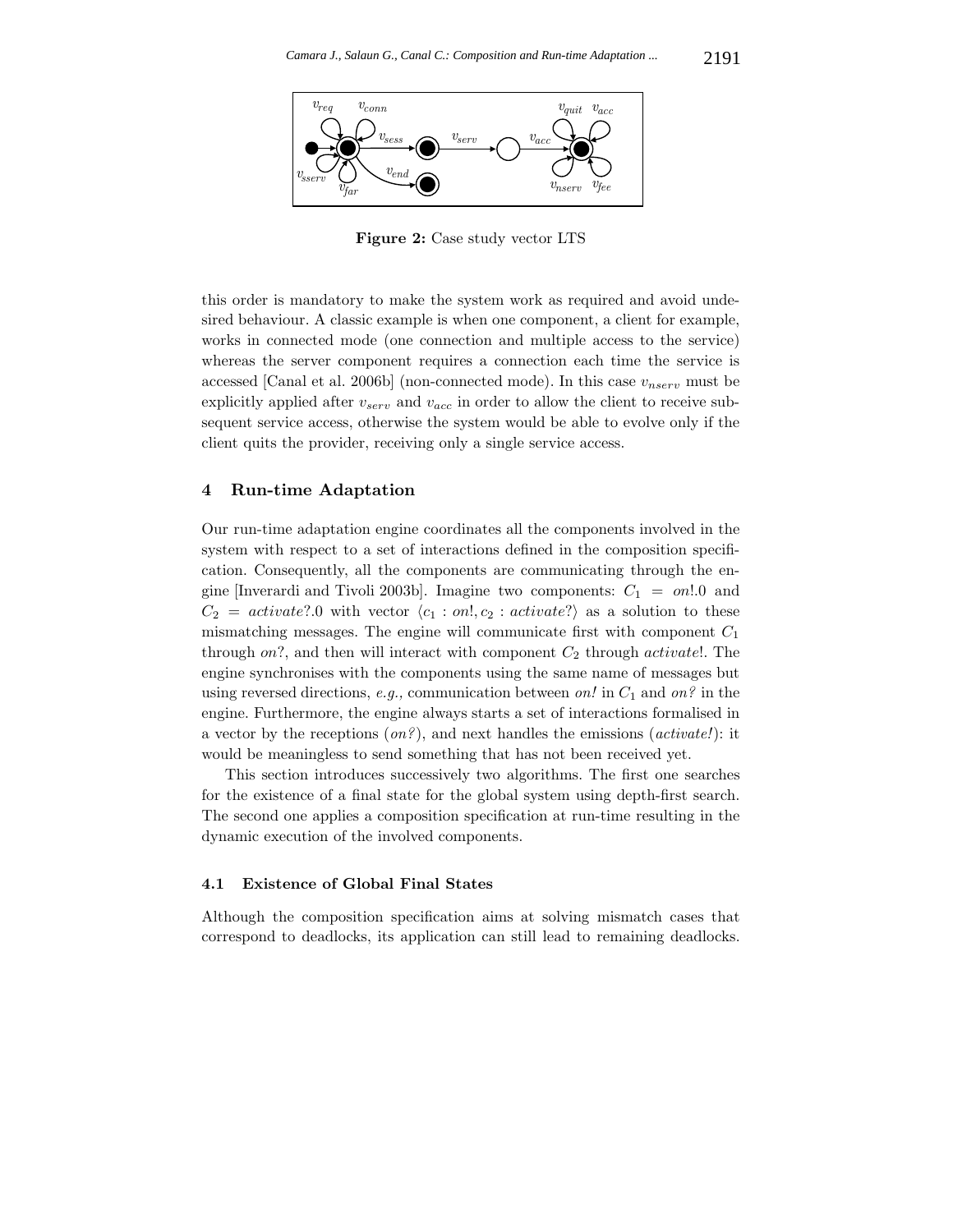

**Figure 2:** Case study vector LTS

this order is mandatory to make the system work as required and avoid undesired behaviour. A classic example is when one component, a client for example, works in connected mode (one connection and multiple access to the service) whereas the server component requires a connection each time the service is accessed [Canal et al. 2006b] (non-connected mode). In this case  $v_{nserv}$  must be explicitly applied after v*serv* and v*acc* in order to allow the client to receive subsequent service access, otherwise the system would be able to evolve only if the client quits the provider, receiving only a single service access.

#### **4 Run-time Adaptation**

Our run-time adaptation engine coordinates all the components involved in the system with respect to a set of interactions defined in the composition specification. Consequently, all the components are communicating through the engine [Inverardi and Tivoli 2003b]. Imagine two components:  $C_1 = on!0$  and  $C_2 = \text{activeale}$ ?.0 with vector  $\langle c_1 : \text{on}!, c_2 : \text{activeale}?\rangle$  as a solution to these mismatching messages. The engine will communicate first with component  $C_1$ through on?, and then will interact with component  $C_2$  through activate!. The engine synchronises with the components using the same name of messages but using reversed directions, *e.g.,* communication between *on!* in C<sup>1</sup> and *on?* in the engine. Furthermore, the engine always starts a set of interactions formalised in a vector by the receptions (*on?*), and next handles the emissions (*activate!*): it would be meaningless to send something that has not been received yet.

This section introduces successively two algorithms. The first one searches for the existence of a final state for the global system using depth-first search. The second one applies a composition specification at run-time resulting in the dynamic execution of the involved components.

#### **4.1 Existence of Global Final States**

Although the composition specification aims at solving mismatch cases that correspond to deadlocks, its application can still lead to remaining deadlocks.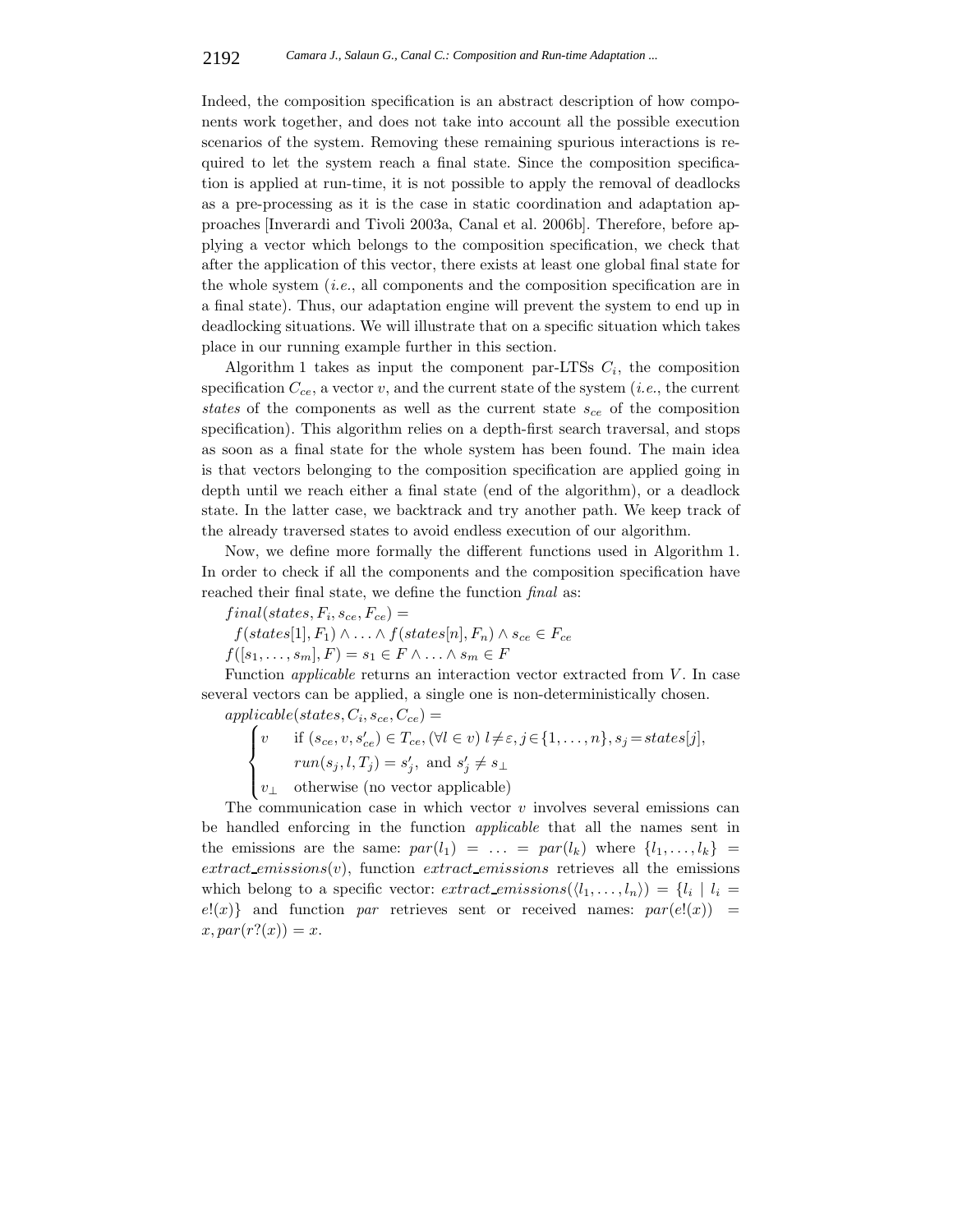Indeed, the composition specification is an abstract description of how components work together, and does not take into account all the possible execution scenarios of the system. Removing these remaining spurious interactions is required to let the system reach a final state. Since the composition specification is applied at run-time, it is not possible to apply the removal of deadlocks as a pre-processing as it is the case in static coordination and adaptation approaches [Inverardi and Tivoli 2003a, Canal et al. 2006b]. Therefore, before applying a vector which belongs to the composition specification, we check that after the application of this vector, there exists at least one global final state for the whole system (*i.e.*, all components and the composition specification are in a final state). Thus, our adaptation engine will prevent the system to end up in deadlocking situations. We will illustrate that on a specific situation which takes place in our running example further in this section.

Algorithm 1 takes as input the component par-LTSs  $C_i$ , the composition specification C*ce*, a vector v, and the current state of the system (*i.e.*, the current *states* of the components as well as the current state s*ce* of the composition specification). This algorithm relies on a depth-first search traversal, and stops as soon as a final state for the whole system has been found. The main idea is that vectors belonging to the composition specification are applied going in depth until we reach either a final state (end of the algorithm), or a deadlock state. In the latter case, we backtrack and try another path. We keep track of the already traversed states to avoid endless execution of our algorithm.

Now, we define more formally the different functions used in Algorithm 1. In order to check if all the components and the composition specification have reached their final state, we define the function *final* as:

 $final(states, F_i, s_{ce}, F_{ce}) =$ 

 $f(states[1], F_1) \wedge \ldots \wedge f(states[n], F_n) \wedge s_{ce} \in F_{ce}$ 

 $f([s_1,\ldots,s_m],F)=s_1\in F\wedge \ldots \wedge s_m\in F$ 

Function *applicable* returns an interaction vector extracted from V. In case several vectors can be applied, a single one is non-deterministically chosen.

 $applicable (states, C_i, s_{ce}, C_{ce}) =$ 

$$
\begin{cases}\nv & \text{if } (s_{ce}, v, s_{ce}') \in T_{ce}, (\forall l \in v) \ l \neq \varepsilon, j \in \{1, \ldots, n\}, s_j = states[j], \\
& \text{run}(s_j, l, T_j) = s_j', \text{ and } s_j' \neq s_\perp \\
v_\perp & \text{otherwise (no vector applicable)}\n\end{cases}
$$

The communication case in which vector  $v$  involves several emissions can be handled enforcing in the function *applicable* that all the names sent in the emissions are the same:  $par(l_1) = \ldots = par(l_k)$  where  $\{l_1, \ldots, l_k\}$  $extract_{\mathcal{L}}(v)$ , function  $extract_{\mathcal{L}}(v)$  retrieves all the emissions which belong to a specific vector:  $extract_{\text{emissions}}(\langle l_1,\ldots,l_n\rangle) = \{l_i \mid l_i =$  $e!(x)$  and function *par* retrieves sent or received names:  $par(e!(x)) =$  $x, par(r?(x)) = x.$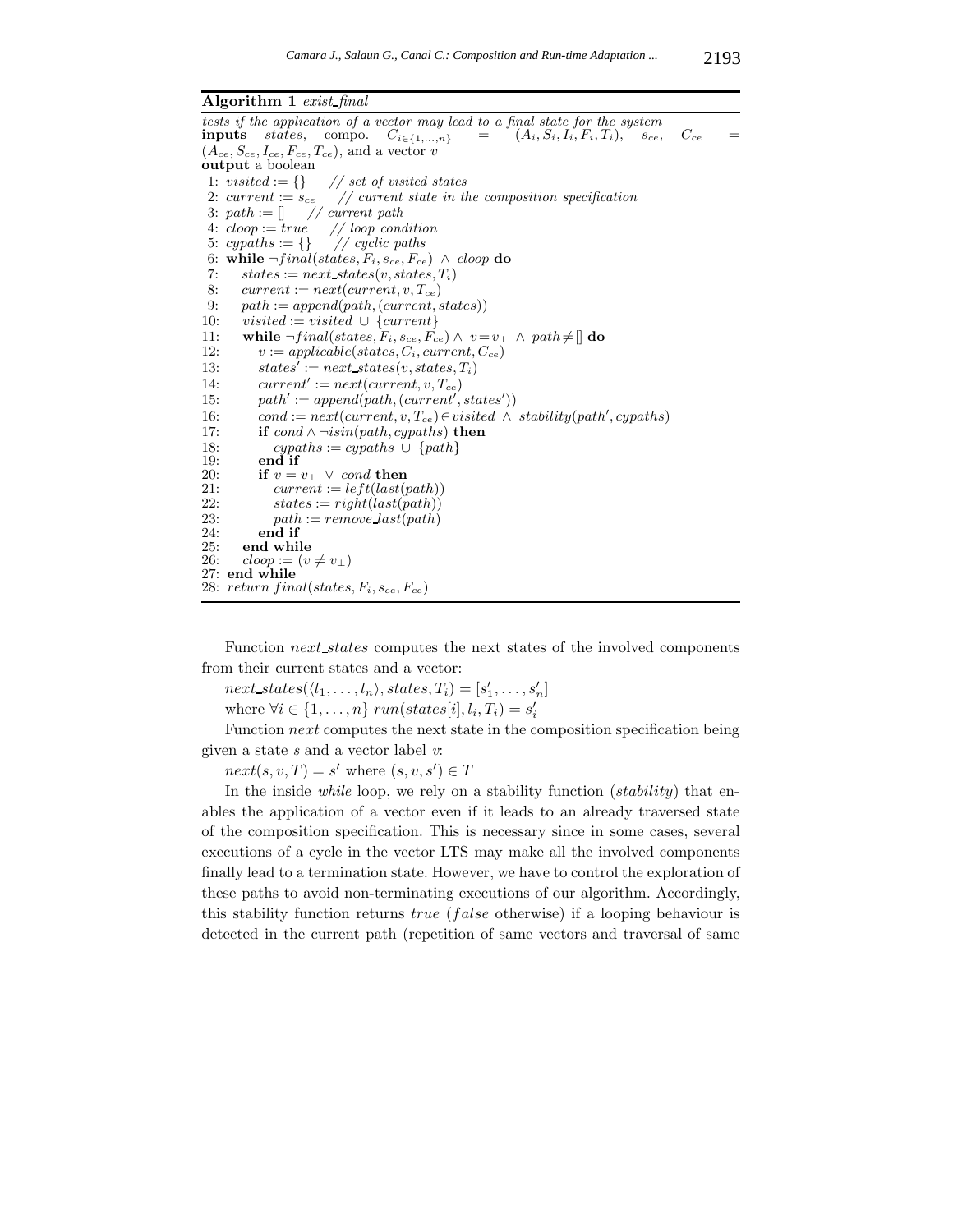**Algorithm 1** *exist final*

tests if the application of a vector may lead to a final state for the system<br>**inputs** states, compo.  $C_{i \in \{1,...,n\}} = (A_i, S_i, I_i, F_i, T_i), s_{ce}$ , **inputs** states, compo.  $C_{i \in \{1,...,n\}}$  =  $(A_i, S_i, I_i, F_i, T_i),$  s<sub>ce</sub>,  $C_{ce}$  =  $(A_{ce}, S_{ce}, I_{ce}, F_{ce}, T_{ce})$ , and a vector *v* **output** a boolean 1: visited  $:= \{\}$  // set of visited states 2: current  $:= s_{ce}$  // current state in the composition specification 3:  $path := [] \quad // \text{ current path}$ 4:  $cloop := true'$  // loop condition<br>5:  $cypaths := \{\}$  // cyclic paths 5:  $cypaths := \{\}$ 6: while  $\neg final(states, F_i, s_{ce}, F_{ce}) \wedge cloop$  do 7:  $states := next\_states(v, states, T_i)$ 8:  $current := next(current, v, T_{ce})$ 9:  $path := append(path, (current, states))$ 10: visited := visited  $\cup$  {current} 11: **while**  $\neg final(states, F_i, s_{ce}, F_{ce}) \land v = v_\perp \land path \neq []$  **do** 12:  $v := \text{applied} \text{ble}(\text{states}, C_i, \text{current}, C_{ce})$ 13:  $states' := next\_states(v, states, T_i)$ 14:  $current' := next(current, v, T_{ce})$ 15:  $path' := append(path, (current', states'))$ 16: cond :=  $next(current, v, T_{ce}) \in visited \land stability(path', cypaths)$ 17: **if** cond ∧ ¬isin(path, cypaths) **then** 18: cypaths := cypaths ∪ {path}<br>19: end if end if 20: **if**  $v = v_{\perp} \vee cond$  **then**<br>21: *current* :=  $leftuster$  $current := left $(tast(path))$$ 22:  $states := right(last(path))$ <br>
23:  $path := remove\_last(path)$ 23:  $path := remove\_last(path)$ <br>24: **end if** 24: **end if** 25: **end while**<br>26:  $\text{cloop} := (v$  $\textit{cloop} := (v \neq v_\perp)$ 27: **end while** 28:  $return final (states, F_i, s_{ce}, F_{ce})$ 

Function *next* states computes the next states of the involved components from their current states and a vector:

 $next\_states(\langle l_1,\ldots,l_n\rangle, states,T_i)=[s'_1,\ldots,s'_n]$ where  $\forall i \in \{1, \ldots, n\}$   $run(states[i], l_i, T_i) = s'_i$ 

Function *next* computes the next state in the composition specification being given a state *s* and a vector label *v*:

 $next(s, v, T) = s'$  where  $(s, v, s') \in T$ 

In the inside *while* loop, we rely on a stability function *(stability)* that enables the application of a vector even if it leads to an already traversed state of the composition specification. This is necessary since in some cases, several executions of a cycle in the vector LTS may make all the involved components finally lead to a termination state. However, we have to control the exploration of these paths to avoid non-terminating executions of our algorithm. Accordingly, this stability function returns  $true$  (false otherwise) if a looping behaviour is detected in the current path (repetition of same vectors and traversal of same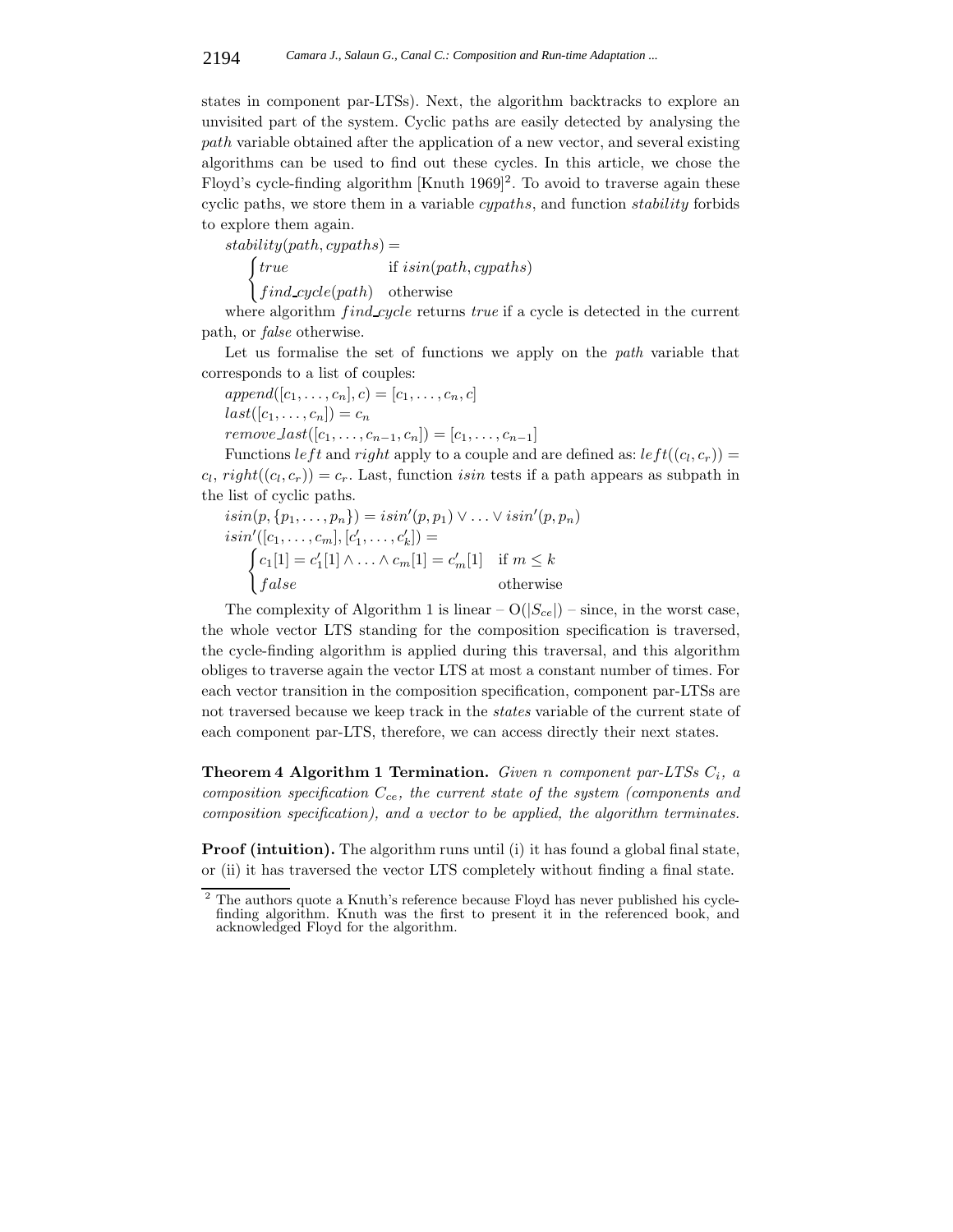states in component par-LTSs). Next, the algorithm backtracks to explore an unvisited part of the system. Cyclic paths are easily detected by analysing the path variable obtained after the application of a new vector, and several existing algorithms can be used to find out these cycles. In this article, we chose the Floyd's cycle-finding algorithm  $\text{[Knuth 1969]}^2$ . To avoid to traverse again these cyclic paths, we store them in a variable cypaths, and function stability forbids to explore them again.

 $stability(path, cypaths) =$ 

 $[true]$ if  $isin(path, cypaths)$  $\int find\_cycle(path)$  otherwise

where algorithm *find cycle* returns *true* if a cycle is detected in the current path, or *false* otherwise.

Let us formalise the set of functions we apply on the *path* variable that corresponds to a list of couples:

 $append([c_1, \ldots, c_n], c) = [c_1, \ldots, c_n, c]$  $last([c_1,\ldots,c_n])=c_n$  $remove\_last([c_1,...,c_{n-1},c_n]) = [c_1,...,c_{n-1}]$ 

Functions left and right apply to a couple and are defined as:  $left((c_l, c_r)\right) =$  $c_l$ ,  $right((c_l, c_r)) = c_r$ . Last, function *isin* tests if a path appears as subpath in the list of cyclic paths.

$$
isin(p, \{p_1, \ldots, p_n\}) = isn'(p, p_1) \lor \ldots \lor isn'(p, p_n)
$$
  
\n
$$
isin'([c_1, \ldots, c_m], [c'_1, \ldots, c'_k]) =
$$
  
\n
$$
\begin{cases}\nc_1[1] = c'_1[1] \land \ldots \land c_m[1] = c'_m[1] & \text{if } m \leq k \\
false & \text{otherwise}\n\end{cases}
$$

The complexity of Algorithm 1 is linear  $- O(|S_{ce}|)$  – since, in the worst case, the whole vector LTS standing for the composition specification is traversed, the cycle-finding algorithm is applied during this traversal, and this algorithm obliges to traverse again the vector LTS at most a constant number of times. For each vector transition in the composition specification, component par-LTSs are not traversed because we keep track in the *states* variable of the current state of each component par-LTS, therefore, we can access directly their next states.

**Theorem 4 Algorithm 1 Termination.** *Given* n *component par-LTSs* C*i, a composition specification* C*ce, the current state of the system (components and composition specification), and a vector to be applied, the algorithm terminates.*

**Proof (intuition).** The algorithm runs until (i) it has found a global final state, or (ii) it has traversed the vector LTS completely without finding a final state.

<sup>2</sup> The authors quote a Knuth's reference because Floyd has never published his cyclefinding algorithm. Knuth was the first to present it in the referenced book, and acknowledged Floyd for the algorithm.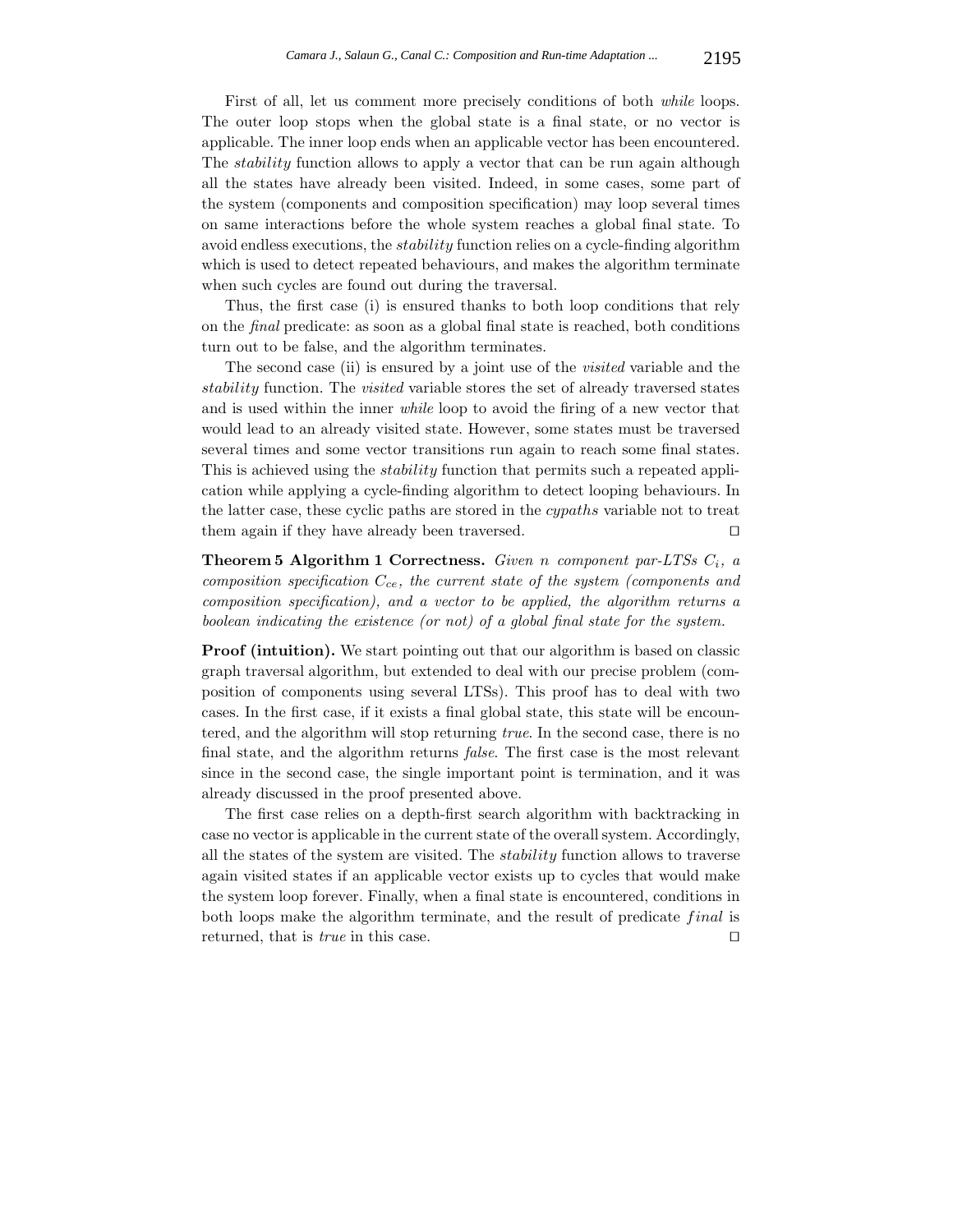First of all, let us comment more precisely conditions of both *while* loops. The outer loop stops when the global state is a final state, or no vector is applicable. The inner loop ends when an applicable vector has been encountered. The *stability* function allows to apply a vector that can be run again although all the states have already been visited. Indeed, in some cases, some part of the system (components and composition specification) may loop several times on same interactions before the whole system reaches a global final state. To avoid endless executions, the stability function relies on a cycle-finding algorithm which is used to detect repeated behaviours, and makes the algorithm terminate when such cycles are found out during the traversal.

Thus, the first case (i) is ensured thanks to both loop conditions that rely on the *final* predicate: as soon as a global final state is reached, both conditions turn out to be false, and the algorithm terminates.

The second case (ii) is ensured by a joint use of the *visited* variable and the stability function. The *visited* variable stores the set of already traversed states and is used within the inner *while* loop to avoid the firing of a new vector that would lead to an already visited state. However, some states must be traversed several times and some vector transitions run again to reach some final states. This is achieved using the stability function that permits such a repeated application while applying a cycle-finding algorithm to detect looping behaviours. In the latter case, these cyclic paths are stored in the cypaths variable not to treat them again if they have already been traversed.  $\square$ 

**Theorem 5 Algorithm 1 Correctness.** *Given* n *component par-LTSs* C*i, a composition specification* C*ce, the current state of the system (components and composition specification), and a vector to be applied, the algorithm returns a boolean indicating the existence (or not) of a global final state for the system.*

**Proof (intuition).** We start pointing out that our algorithm is based on classic graph traversal algorithm, but extended to deal with our precise problem (composition of components using several LTSs). This proof has to deal with two cases. In the first case, if it exists a final global state, this state will be encountered, and the algorithm will stop returning *true*. In the second case, there is no final state, and the algorithm returns *false*. The first case is the most relevant since in the second case, the single important point is termination, and it was already discussed in the proof presented above.

The first case relies on a depth-first search algorithm with backtracking in case no vector is applicable in the current state of the overall system. Accordingly, all the states of the system are visited. The stability function allows to traverse again visited states if an applicable vector exists up to cycles that would make the system loop forever. Finally, when a final state is encountered, conditions in both loops make the algorithm terminate, and the result of predicate final is returned, that is *true* in this case.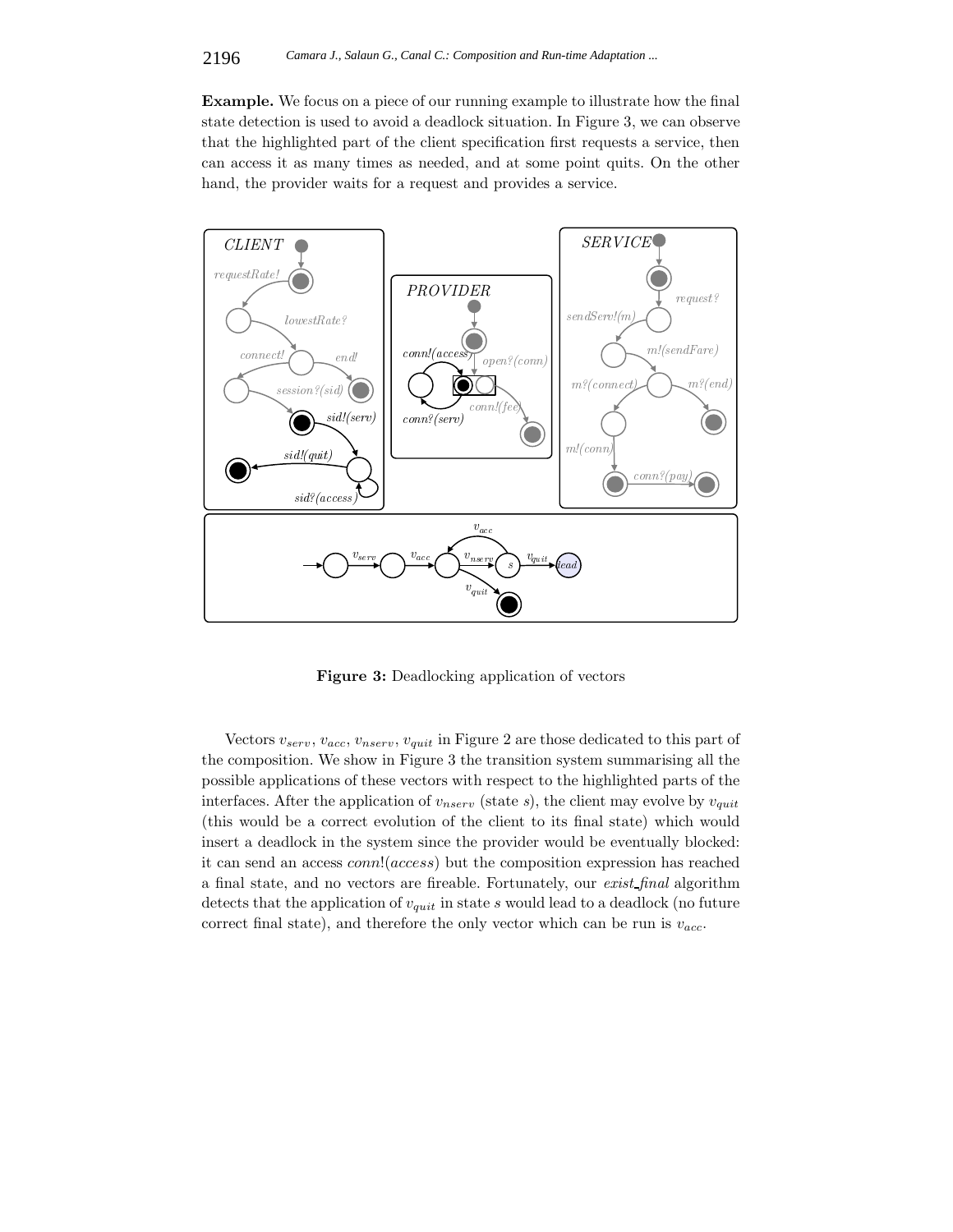**Example.** We focus on a piece of our running example to illustrate how the final state detection is used to avoid a deadlock situation. In Figure 3, we can observe that the highlighted part of the client specification first requests a service, then can access it as many times as needed, and at some point quits. On the other hand, the provider waits for a request and provides a service.



**Figure 3:** Deadlocking application of vectors

Vectors v*serv*, v*acc*, v*nserv*, v*quit* in Figure 2 are those dedicated to this part of the composition. We show in Figure 3 the transition system summarising all the possible applications of these vectors with respect to the highlighted parts of the interfaces. After the application of v*nserv* (state *s*), the client may evolve by v*quit* (this would be a correct evolution of the client to its final state) which would insert a deadlock in the system since the provider would be eventually blocked: it can send an access conn!(access) but the composition expression has reached a final state, and no vectors are fireable. Fortunately, our *exist final* algorithm detects that the application of v*quit* in state s would lead to a deadlock (no future correct final state), and therefore the only vector which can be run is  $v_{acc}$ .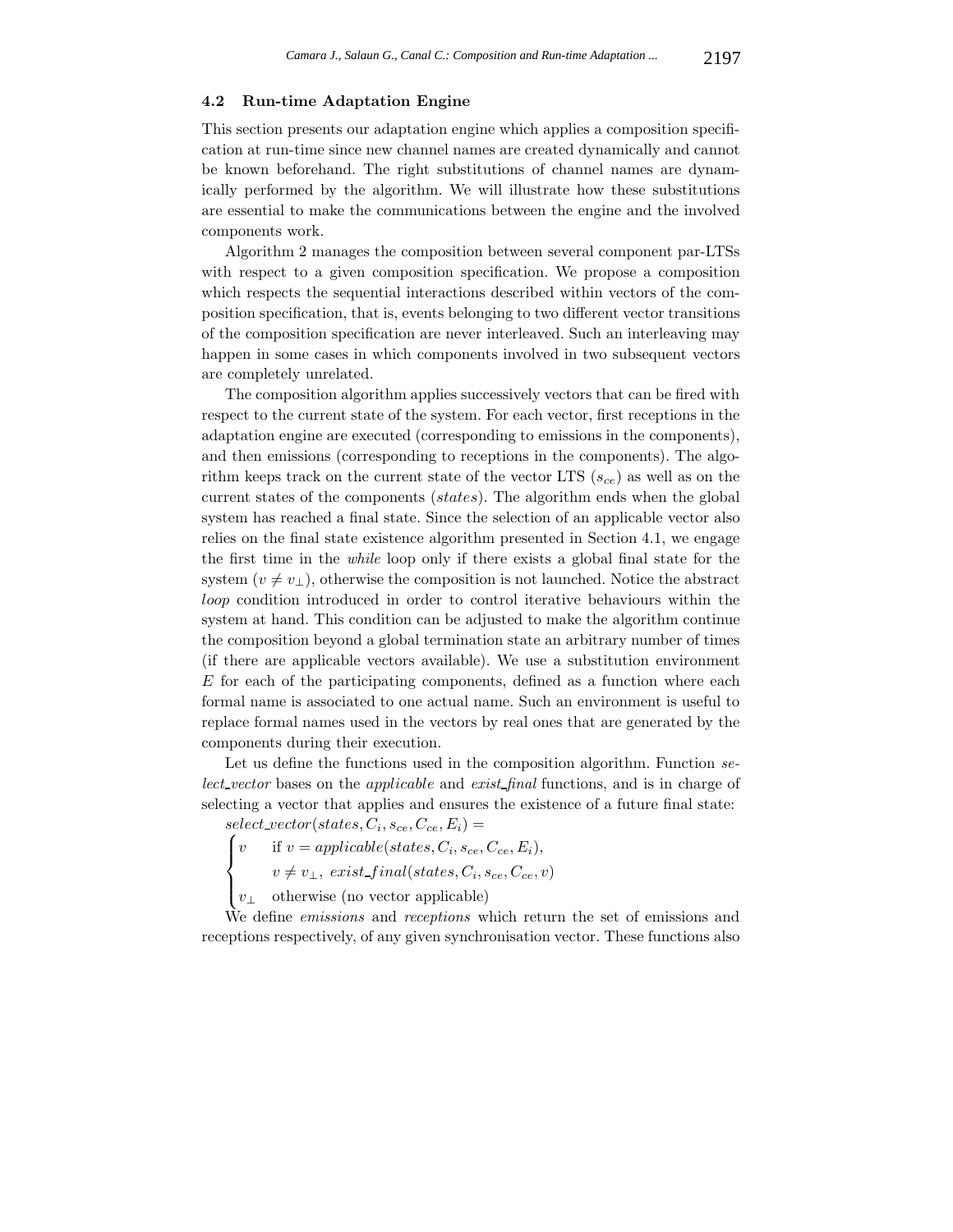#### **4.2 Run-time Adaptation Engine**

This section presents our adaptation engine which applies a composition specification at run-time since new channel names are created dynamically and cannot be known beforehand. The right substitutions of channel names are dynamically performed by the algorithm. We will illustrate how these substitutions are essential to make the communications between the engine and the involved components work.

Algorithm 2 manages the composition between several component par-LTSs with respect to a given composition specification. We propose a composition which respects the sequential interactions described within vectors of the composition specification, that is, events belonging to two different vector transitions of the composition specification are never interleaved. Such an interleaving may happen in some cases in which components involved in two subsequent vectors are completely unrelated.

The composition algorithm applies successively vectors that can be fired with respect to the current state of the system. For each vector, first receptions in the adaptation engine are executed (corresponding to emissions in the components), and then emissions (corresponding to receptions in the components). The algorithm keeps track on the current state of the vector LTS  $(s_{ce})$  as well as on the current states of the components (states). The algorithm ends when the global system has reached a final state. Since the selection of an applicable vector also relies on the final state existence algorithm presented in Section 4.1, we engage the first time in the *while* loop only if there exists a global final state for the system  $(v \neq v_{\perp})$ , otherwise the composition is not launched. Notice the abstract loop condition introduced in order to control iterative behaviours within the system at hand. This condition can be adjusted to make the algorithm continue the composition beyond a global termination state an arbitrary number of times (if there are applicable vectors available). We use a substitution environment  $E$  for each of the participating components, defined as a function where each formal name is associated to one actual name. Such an environment is useful to replace formal names used in the vectors by real ones that are generated by the components during their execution.

Let us define the functions used in the composition algorithm. Function *select vector* bases on the applicable and *exist final* functions, and is in charge of selecting a vector that applies and ensures the existence of a future final state:

 $select\_vector(states, C_i, s_{ce}, C_{ce}, E_i) =$ 

$$
\int v \quad \text{if } v = applicable(states, C_i, s_{ce}, C_{ce}, E_i),
$$
  

$$
v \neq v, \quad exist \; final (states, C_i, s_{ce}, C_{ce})
$$

 $v \neq v_{\perp}, \; exist\_final(states, C_i, s_{ce}, C_{ce}, v)$ 

 $\overline{\mathcal{N}}$  $v_{\perp}$  otherwise (no vector applicable)

We define *emissions* and *receptions* which return the set of emissions and receptions respectively, of any given synchronisation vector. These functions also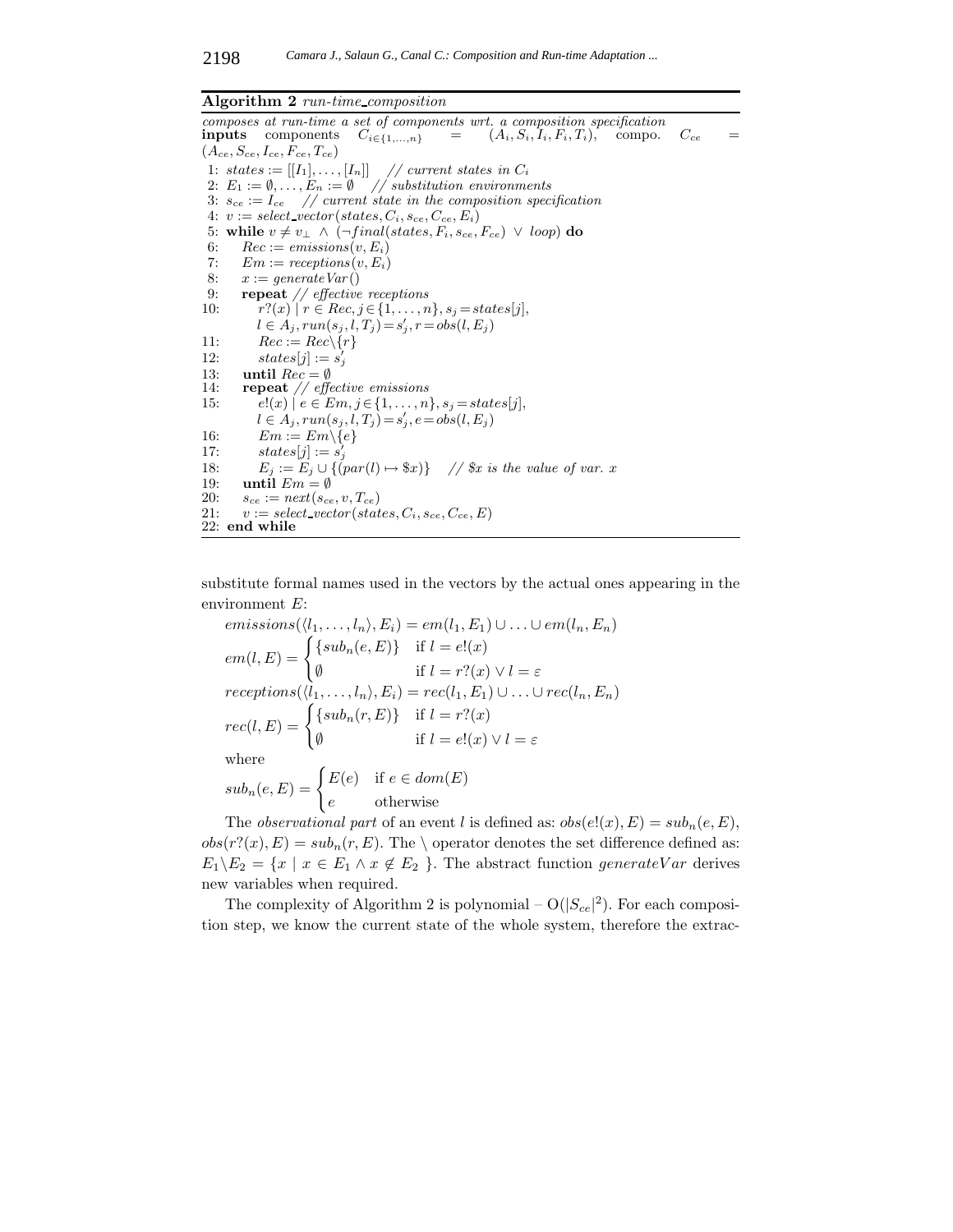#### **Algorithm 2** *run-time composition*

composes at run-time a set of components wrt. a composition specification **inputs** components  $C_{i \in \{1,...,n\}} = (A_i, S_i, I_i, F_i, T_i)$ , compo. **inputs** components  $C_{i \in \{1,...,n\}}$  =  $(A_i, S_i, I_i, F_i, T_i)$ , compo.  $C_{ce}$  =  $(A_{ce}, S_{ce}, I_{ce}, F_{ce}, T_{ce})$ 1: states :=  $[[I_1], \ldots, [I_n]]$  // current states in  $C_i$ 2:  $E_1 := \emptyset, \ldots, E_n := \emptyset$  // substitution environments 3:  $s_{ce} := I_{ce}$  // current state in the composition specification 4:  $v := select\_vector(states, C_i, s_{ce}, C_{ce}, E_i)$ 5: **while**  $v \neq v_\perp \land (\neg final(states, F_i, s_{ce}, F_{ce}) \lor loop)$  **do** 6:  $Rec := emissions(v, E_i)$ <br>7:  $Em := receptors(v, E_i)$  $Em := receptors(v, E_i)$ 8:  $x := \text{generate } \text{Var}()$ 9: **repeat** // effective receptions 10:  $r?(x) | r \in Rec, j \in \{1, ..., n\}, s_j = states[j],$  $l \in A_j$ ,  $run(s_j, l, T_j) = s'_j$ ,  $r = obs(l, E_j)$ 11:  $Rec := Rec \setminus \{r\}$ 12:  $states[j] := s'_j$ 13: **until**  $Rec = \emptyset$ 14: **repeat** // effective emissions 15:  $e!(x) | e \in Em, j \in \{1, ..., n\}, s_j = states[j],$  $l \in A_j, run(s_j, l, T_j) = s'_j, e = obs(l, E_j)$ 16:  $Em := Em \setminus \{e\}$ 17:  $states[j] := s'_j$ 18:  $E_j := E_j \cup \{ (par(l) \mapsto \$x) \}$  //  $\$x \text{ is the value of } var. x$ 19: **until**  $Em = \emptyset$ 20:  $s_{ce} := next(s_{ce}, v, T_{ce})$ 21:  $v := select\_vector(state, C_i, s_{ce}, C_{ce}, E)$ 22: **end while**

substitute formal names used in the vectors by the actual ones appearing in the environment E:

$$
emissions(\langle l_1, \ldots, l_n \rangle, E_i) = em(l_1, E_1) \cup \ldots \cup em(l_n, E_n)
$$
  
\n
$$
em(l, E) = \begin{cases} \{sub_1(e, E)\} & \text{if } l = e!(x) \\ \emptyset & \text{if } l = r?(x) \lor l = \varepsilon \end{cases}
$$
  
\n
$$
receptions(\langle l_1, \ldots, l_n \rangle, E_i) = rec(l_1, E_1) \cup \ldots \cup rec(l_n, E_n)
$$
  
\n
$$
rec(l, E) = \begin{cases} \{sub_1(e, E)\} & \text{if } l = r?(x) \\ \emptyset & \text{if } l = e!(x) \lor l = \varepsilon \end{cases}
$$
  
\nwhere  
\n
$$
sub_n(e, E) = \begin{cases} E(e) & \text{if } e \in dom(E) \\ e & \text{otherwise} \end{cases}
$$

The *observational part* of an event l is defined as:  $obs(e!(x), E) = sub_n(e, E)$ ,  $obs(r?(x), E) = sub<sub>n</sub>(r, E)$ . The \ operator denotes the set difference defined as:  $E_1 \backslash E_2 = \{x \mid x \in E_1 \land x \notin E_2 \}$ . The abstract function generateVar derives new variables when required.

The complexity of Algorithm 2 is polynomial  $-\mathrm{O}(|S_{ce}|^2)$ . For each composition step, we know the current state of the whole system, therefore the extrac-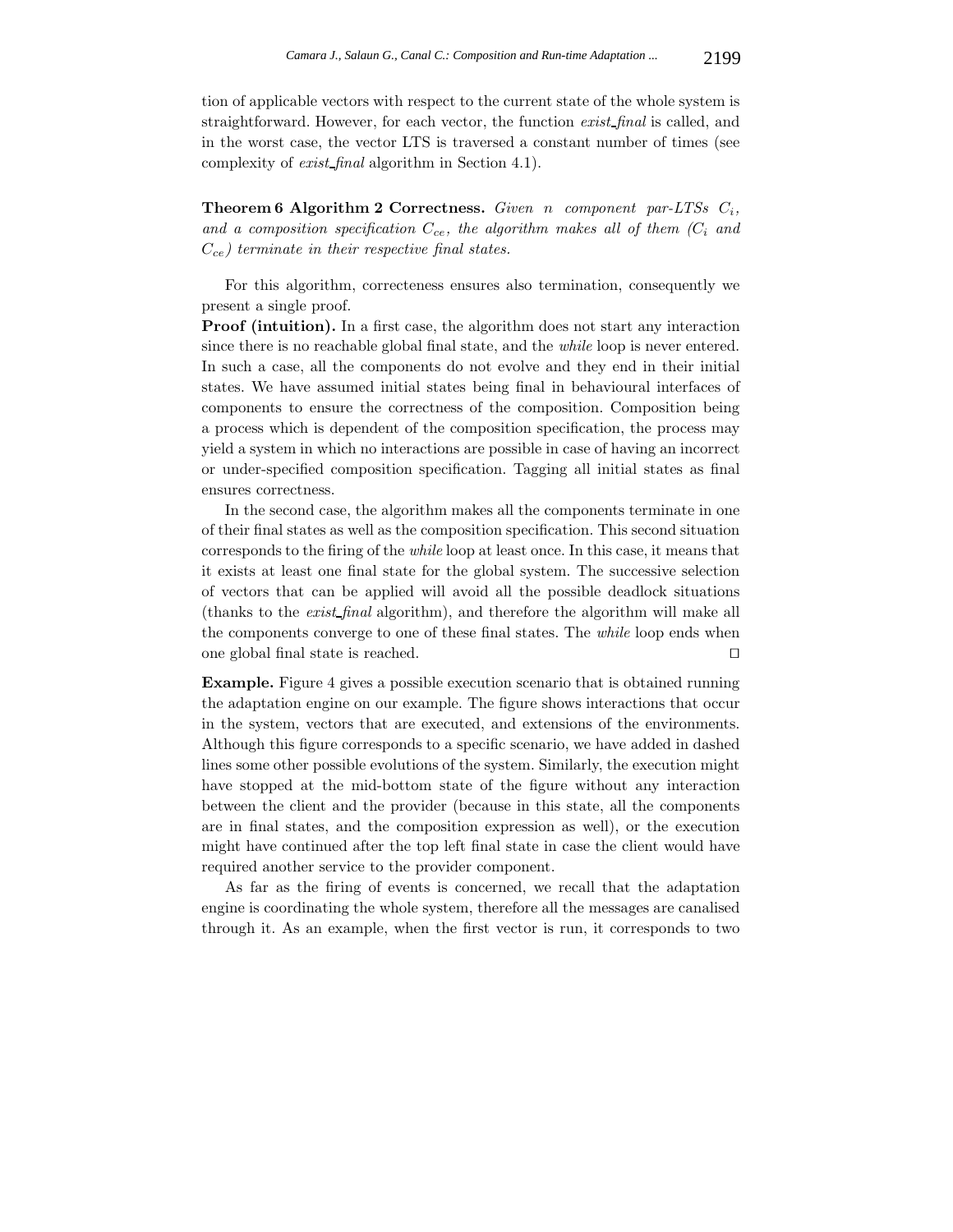tion of applicable vectors with respect to the current state of the whole system is straightforward. However, for each vector, the function *exist final* is called, and in the worst case, the vector LTS is traversed a constant number of times (see complexity of *exist final* algorithm in Section 4.1).

**Theorem 6 Algorithm 2 Correctness.** *Given* n *component par-LTSs* C*i, and a composition specification* C*ce, the algorithm makes all of them (*C*<sup>i</sup> and* C*ce) terminate in their respective final states.*

For this algorithm, correcteness ensures also termination, consequently we present a single proof.

**Proof (intuition).** In a first case, the algorithm does not start any interaction since there is no reachable global final state, and the *while* loop is never entered. In such a case, all the components do not evolve and they end in their initial states. We have assumed initial states being final in behavioural interfaces of components to ensure the correctness of the composition. Composition being a process which is dependent of the composition specification, the process may yield a system in which no interactions are possible in case of having an incorrect or under-specified composition specification. Tagging all initial states as final ensures correctness.

In the second case, the algorithm makes all the components terminate in one of their final states as well as the composition specification. This second situation corresponds to the firing of the *while* loop at least once. In this case, it means that it exists at least one final state for the global system. The successive selection of vectors that can be applied will avoid all the possible deadlock situations (thanks to the *exist final* algorithm), and therefore the algorithm will make all the components converge to one of these final states. The *while* loop ends when one global final state is reached. 

**Example.** Figure 4 gives a possible execution scenario that is obtained running the adaptation engine on our example. The figure shows interactions that occur in the system, vectors that are executed, and extensions of the environments. Although this figure corresponds to a specific scenario, we have added in dashed lines some other possible evolutions of the system. Similarly, the execution might have stopped at the mid-bottom state of the figure without any interaction between the client and the provider (because in this state, all the components are in final states, and the composition expression as well), or the execution might have continued after the top left final state in case the client would have required another service to the provider component.

As far as the firing of events is concerned, we recall that the adaptation engine is coordinating the whole system, therefore all the messages are canalised through it. As an example, when the first vector is run, it corresponds to two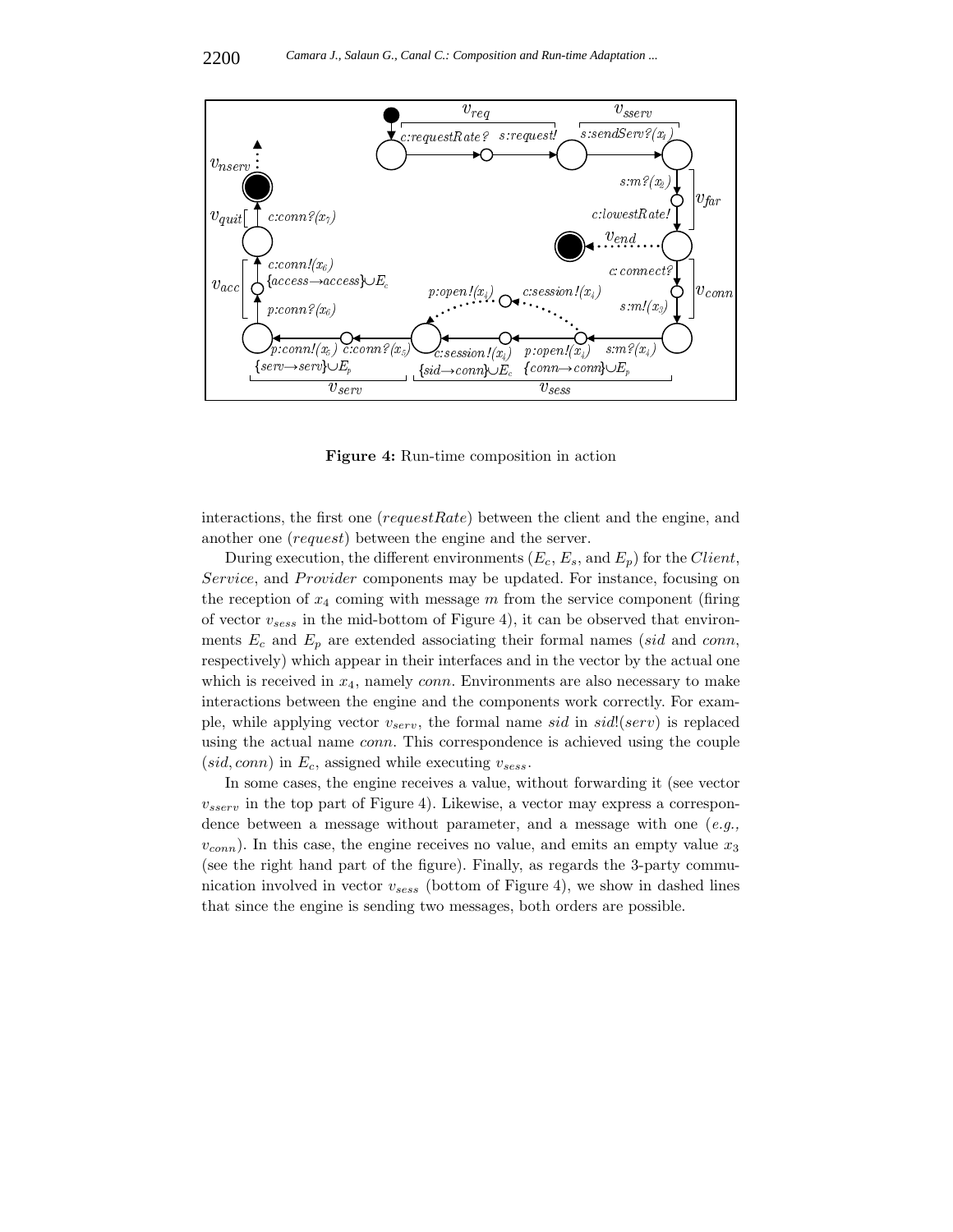

**Figure 4:** Run-time composition in action

interactions, the first one (requestRate) between the client and the engine, and another one (request) between the engine and the server.

During execution, the different environments  $(E_c, E_s, \text{ and } E_p)$  for the *Client*, Service, and Provider components may be updated. For instance, focusing on the reception of  $x_4$  coming with message m from the service component (firing of vector v*sess* in the mid-bottom of Figure 4), it can be observed that environments  $E_c$  and  $E_p$  are extended associating their formal names (sid and conn, respectively) which appear in their interfaces and in the vector by the actual one which is received in  $x_4$ , namely *conn*. Environments are also necessary to make interactions between the engine and the components work correctly. For example, while applying vector  $v_{serv}$ , the formal name sid in sid!(serv) is replaced using the actual name conn. This correspondence is achieved using the couple  $(sid, conn)$  in  $E_c$ , assigned while executing  $v_{sess}$ .

In some cases, the engine receives a value, without forwarding it (see vector  $v_{sserv}$  in the top part of Figure 4). Likewise, a vector may express a correspondence between a message without parameter, and a message with one (*e.g.,*  $v_{conn}$ ). In this case, the engine receives no value, and emits an empty value  $x_3$ (see the right hand part of the figure). Finally, as regards the 3-party communication involved in vector v*sess* (bottom of Figure 4), we show in dashed lines that since the engine is sending two messages, both orders are possible.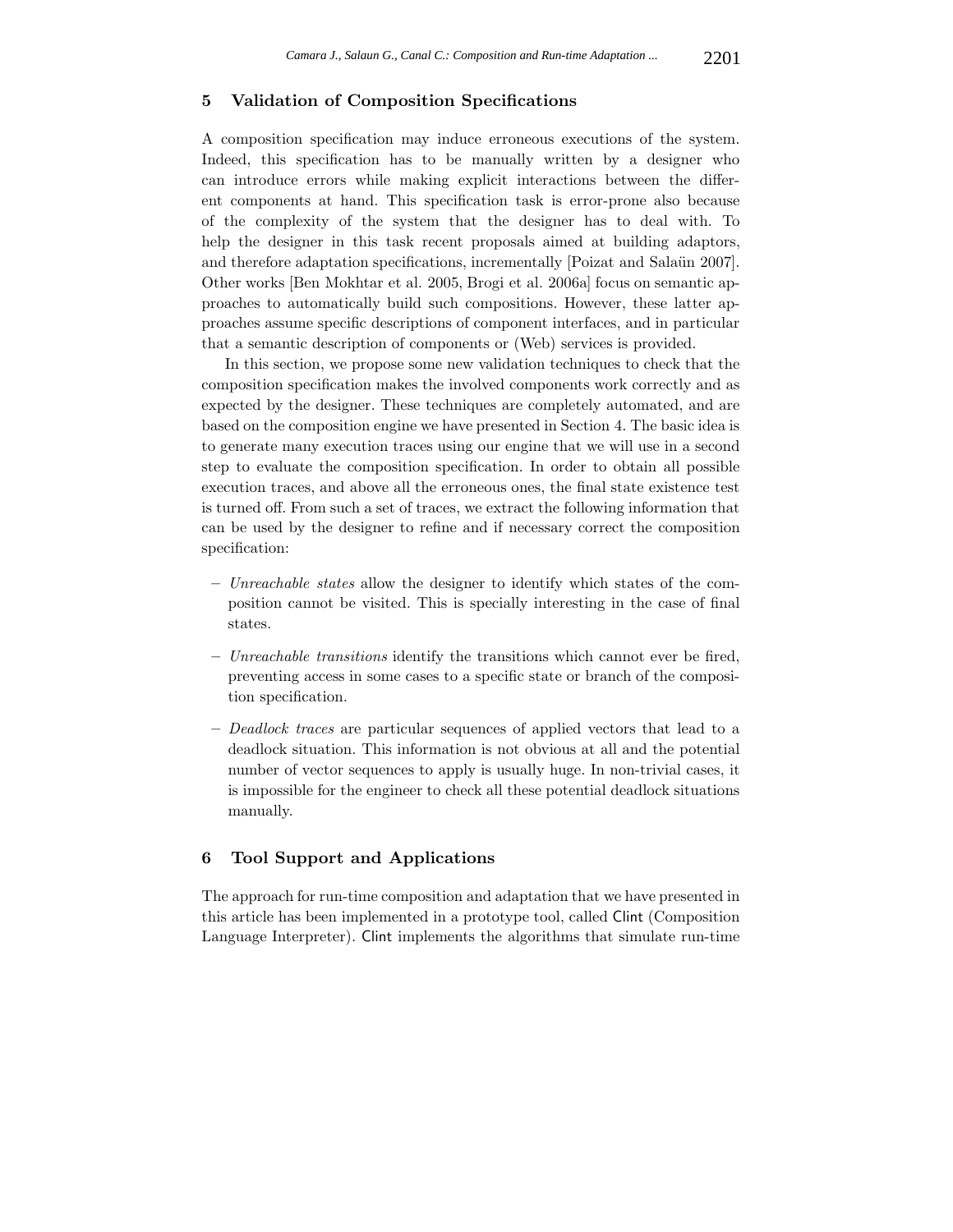#### **5 Validation of Composition Specifications**

A composition specification may induce erroneous executions of the system. Indeed, this specification has to be manually written by a designer who can introduce errors while making explicit interactions between the different components at hand. This specification task is error-prone also because of the complexity of the system that the designer has to deal with. To help the designer in this task recent proposals aimed at building adaptors, and therefore adaptation specifications, incrementally [Poizat and Salaün 2007]. Other works [Ben Mokhtar et al. 2005, Brogi et al. 2006a] focus on semantic approaches to automatically build such compositions. However, these latter approaches assume specific descriptions of component interfaces, and in particular that a semantic description of components or (Web) services is provided.

In this section, we propose some new validation techniques to check that the composition specification makes the involved components work correctly and as expected by the designer. These techniques are completely automated, and are based on the composition engine we have presented in Section 4. The basic idea is to generate many execution traces using our engine that we will use in a second step to evaluate the composition specification. In order to obtain all possible execution traces, and above all the erroneous ones, the final state existence test is turned off. From such a set of traces, we extract the following information that can be used by the designer to refine and if necessary correct the composition specification:

- **–** *Unreachable states* allow the designer to identify which states of the composition cannot be visited. This is specially interesting in the case of final states.
- **–** *Unreachable transitions* identify the transitions which cannot ever be fired, preventing access in some cases to a specific state or branch of the composition specification.
- **–** *Deadlock traces* are particular sequences of applied vectors that lead to a deadlock situation. This information is not obvious at all and the potential number of vector sequences to apply is usually huge. In non-trivial cases, it is impossible for the engineer to check all these potential deadlock situations manually.

#### **6 Tool Support and Applications**

The approach for run-time composition and adaptation that we have presented in this article has been implemented in a prototype tool, called Clint (Composition Language Interpreter). Clint implements the algorithms that simulate run-time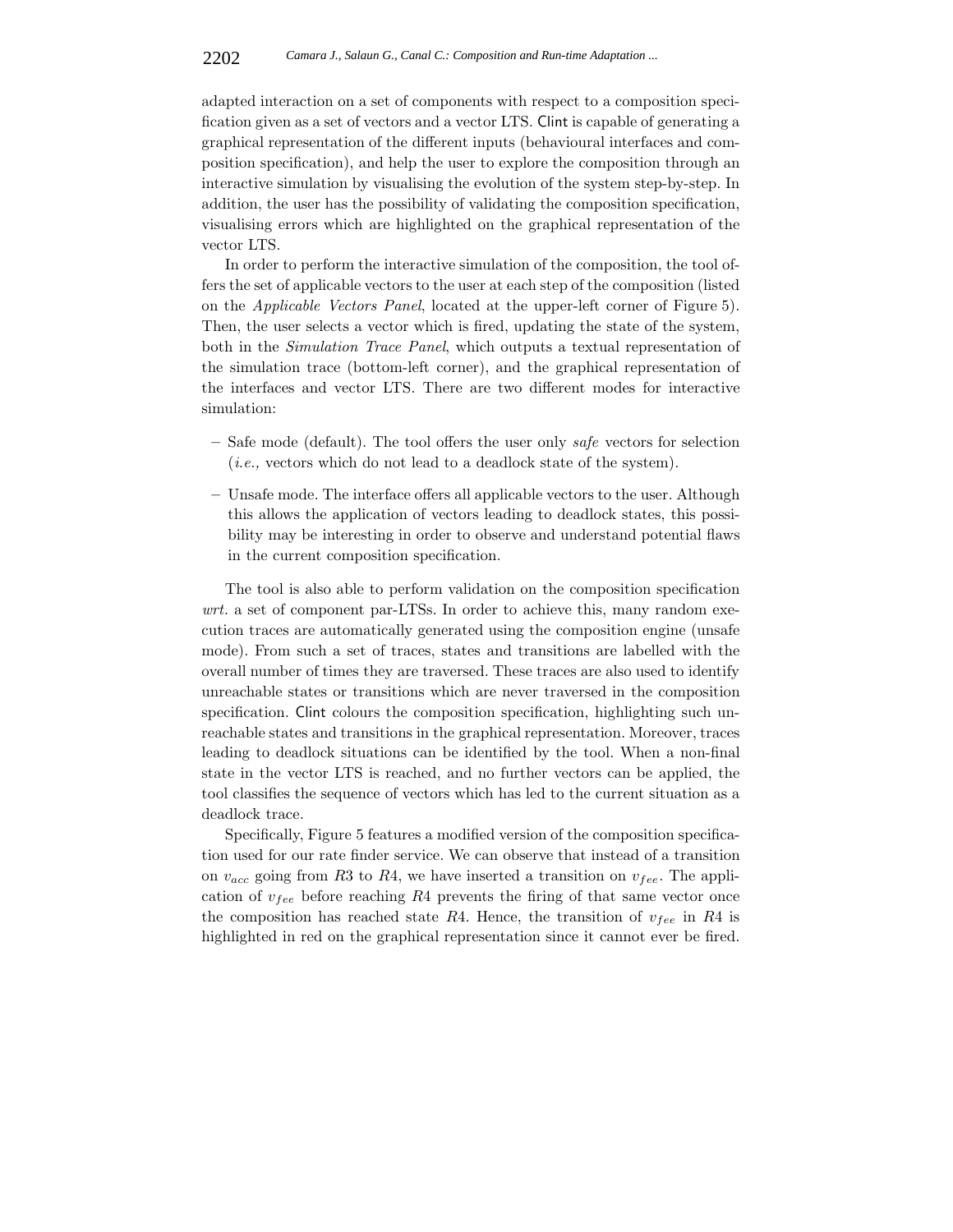adapted interaction on a set of components with respect to a composition specification given as a set of vectors and a vector LTS. Clint is capable of generating a graphical representation of the different inputs (behavioural interfaces and composition specification), and help the user to explore the composition through an interactive simulation by visualising the evolution of the system step-by-step. In addition, the user has the possibility of validating the composition specification, visualising errors which are highlighted on the graphical representation of the vector LTS.

In order to perform the interactive simulation of the composition, the tool offers the set of applicable vectors to the user at each step of the composition (listed on the *Applicable Vectors Panel*, located at the upper-left corner of Figure 5). Then, the user selects a vector which is fired, updating the state of the system, both in the *Simulation Trace Panel*, which outputs a textual representation of the simulation trace (bottom-left corner), and the graphical representation of the interfaces and vector LTS. There are two different modes for interactive simulation:

- **–** Safe mode (default). The tool offers the user only *safe* vectors for selection (*i.e.,* vectors which do not lead to a deadlock state of the system).
- **–** Unsafe mode. The interface offers all applicable vectors to the user. Although this allows the application of vectors leading to deadlock states, this possibility may be interesting in order to observe and understand potential flaws in the current composition specification.

The tool is also able to perform validation on the composition specification *wrt.* a set of component par-LTSs. In order to achieve this, many random execution traces are automatically generated using the composition engine (unsafe mode). From such a set of traces, states and transitions are labelled with the overall number of times they are traversed. These traces are also used to identify unreachable states or transitions which are never traversed in the composition specification. Clint colours the composition specification, highlighting such unreachable states and transitions in the graphical representation. Moreover, traces leading to deadlock situations can be identified by the tool. When a non-final state in the vector LTS is reached, and no further vectors can be applied, the tool classifies the sequence of vectors which has led to the current situation as a deadlock trace.

Specifically, Figure 5 features a modified version of the composition specification used for our rate finder service. We can observe that instead of a transition on  $v_{acc}$  going from R3 to R4, we have inserted a transition on  $v_{fee}$ . The application of  $v_{fee}$  before reaching  $R4$  prevents the firing of that same vector once the composition has reached state  $R4$ . Hence, the transition of  $v_{fee}$  in  $R4$  is highlighted in red on the graphical representation since it cannot ever be fired.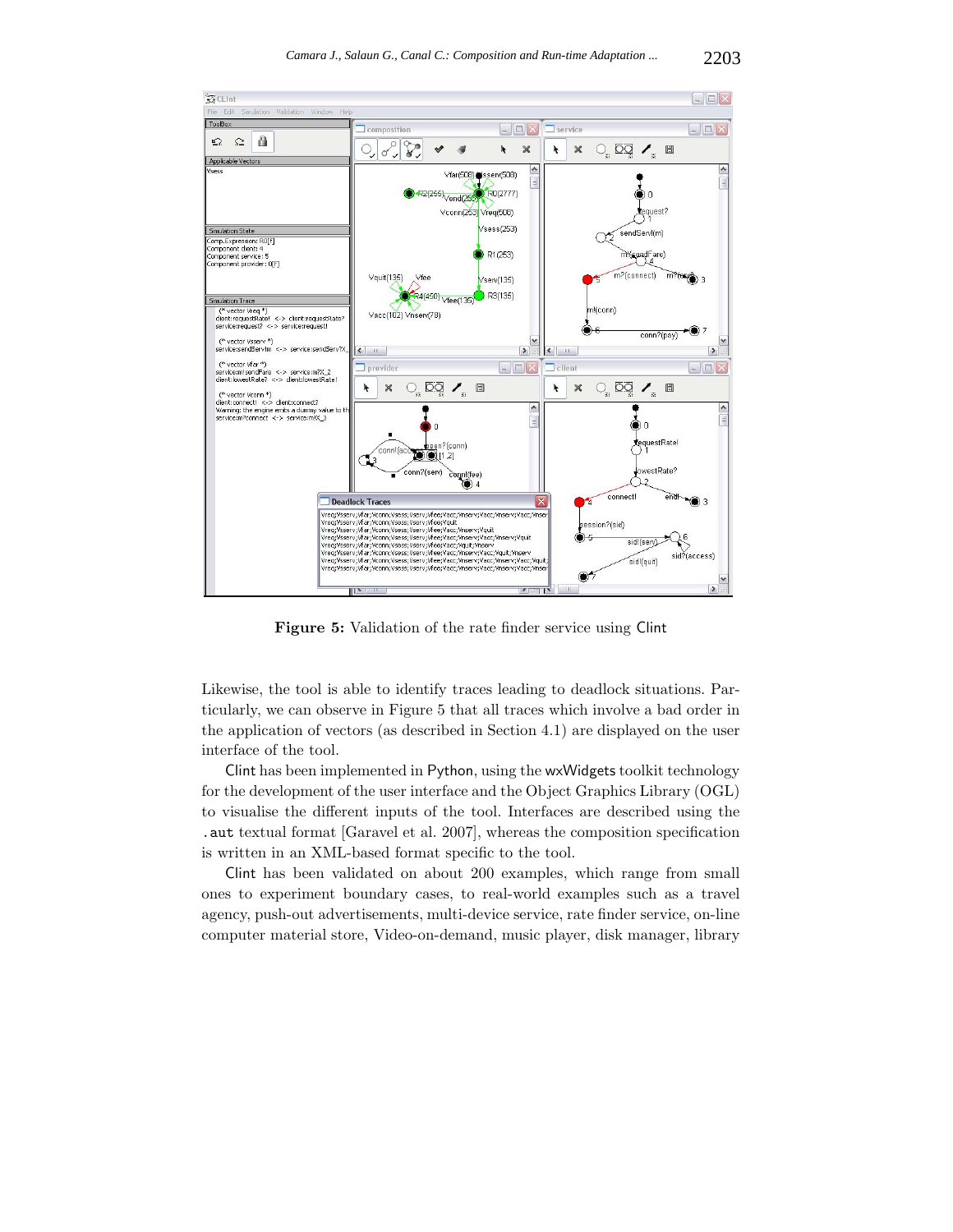

**Figure 5:** Validation of the rate finder service using Clint

Likewise, the tool is able to identify traces leading to deadlock situations. Particularly, we can observe in Figure 5 that all traces which involve a bad order in the application of vectors (as described in Section 4.1) are displayed on the user interface of the tool.

Clint has been implemented in Python, using the wxWidgets toolkit technology for the development of the user interface and the Object Graphics Library (OGL) to visualise the different inputs of the tool. Interfaces are described using the .aut textual format [Garavel et al. 2007], whereas the composition specification is written in an XML-based format specific to the tool.

Clint has been validated on about 200 examples, which range from small ones to experiment boundary cases, to real-world examples such as a travel agency, push-out advertisements, multi-device service, rate finder service, on-line computer material store, Video-on-demand, music player, disk manager, library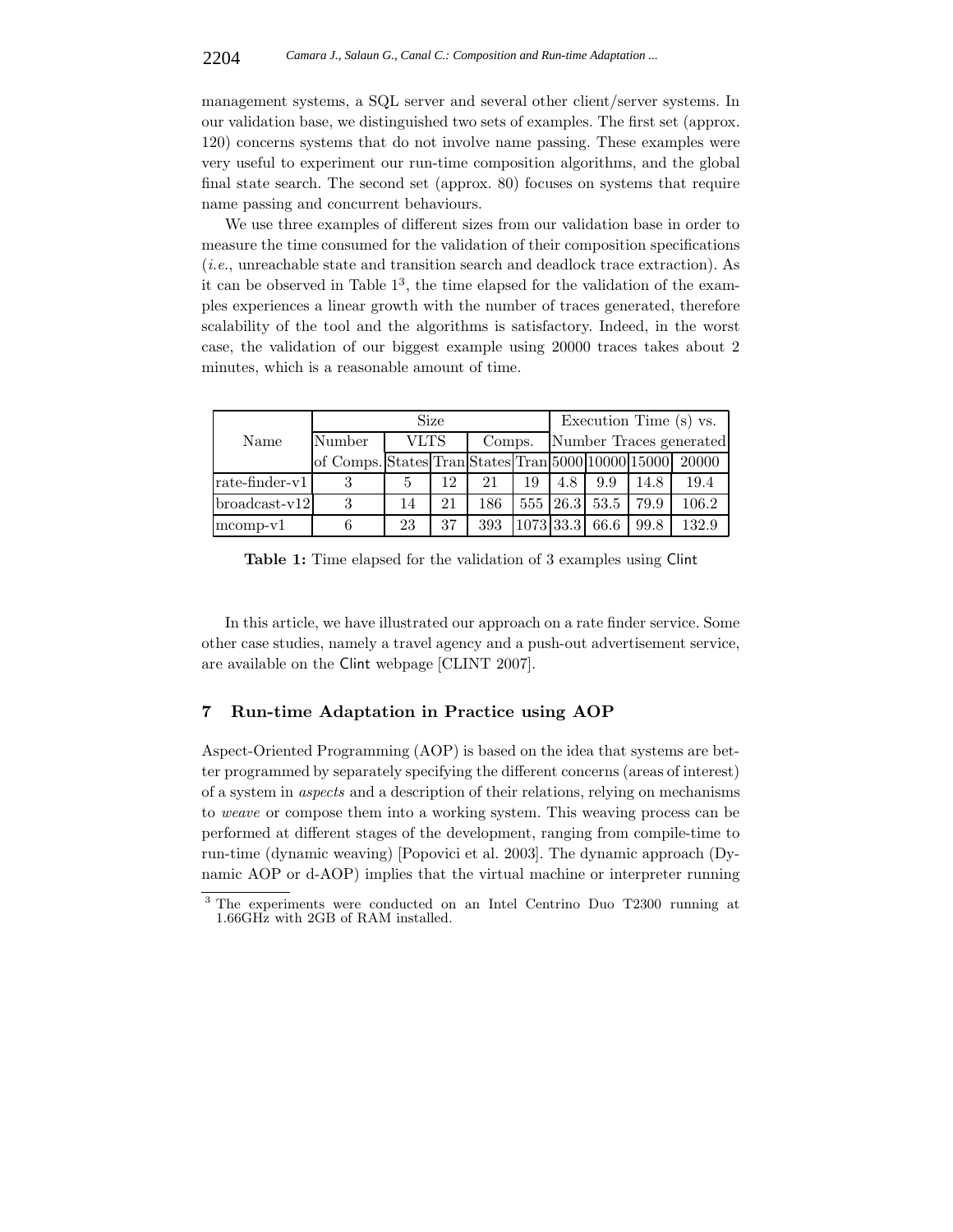management systems, a SQL server and several other client/server systems. In our validation base, we distinguished two sets of examples. The first set (approx. 120) concerns systems that do not involve name passing. These examples were very useful to experiment our run-time composition algorithms, and the global final state search. The second set (approx. 80) focuses on systems that require name passing and concurrent behaviours.

We use three examples of different sizes from our validation base in order to measure the time consumed for the validation of their composition specifications (*i.e.*, unreachable state and transition search and deadlock trace extraction). As it can be observed in Table  $1<sup>3</sup>$ , the time elapsed for the validation of the examples experiences a linear growth with the number of traces generated, therefore scalability of the tool and the algorithms is satisfactory. Indeed, in the worst case, the validation of our biggest example using 20000 traces takes about 2 minutes, which is a reasonable amount of time.

|                  | Size                                               |      |    |        |           | Execution Time (s) vs.  |               |      |       |
|------------------|----------------------------------------------------|------|----|--------|-----------|-------------------------|---------------|------|-------|
| Name             | Number                                             | VLTS |    | Comps. |           | Number Traces generated |               |      |       |
|                  | of Comps. States Tran States Tran 5000 10000 15000 |      |    |        |           |                         |               |      | 20000 |
| $rate-finder-v1$ | 3                                                  |      | 12 | 21     | 19        | 4.8                     | 9.9           | 14.8 | 19.4  |
| $broadcast-v12$  | 3                                                  | 14   | 21 | 186    |           |                         | 555 26.3 53.5 | 79.9 | 106.2 |
| $mcomp-v1$       |                                                    | 23   | 37 | 393    | 1073 33.3 |                         | 66.6          | 99.8 | 132.9 |

**Table 1:** Time elapsed for the validation of 3 examples using Clint

In this article, we have illustrated our approach on a rate finder service. Some other case studies, namely a travel agency and a push-out advertisement service, are available on the Clint webpage [CLINT 2007].

## **7 Run-time Adaptation in Practice using AOP**

Aspect-Oriented Programming (AOP) is based on the idea that systems are better programmed by separately specifying the different concerns (areas of interest) of a system in *aspects* and a description of their relations, relying on mechanisms to *weave* or compose them into a working system. This weaving process can be performed at different stages of the development, ranging from compile-time to run-time (dynamic weaving) [Popovici et al. 2003]. The dynamic approach (Dynamic AOP or d-AOP) implies that the virtual machine or interpreter running

<sup>3</sup> The experiments were conducted on an Intel Centrino Duo T2300 running at 1.66GHz with 2GB of RAM installed.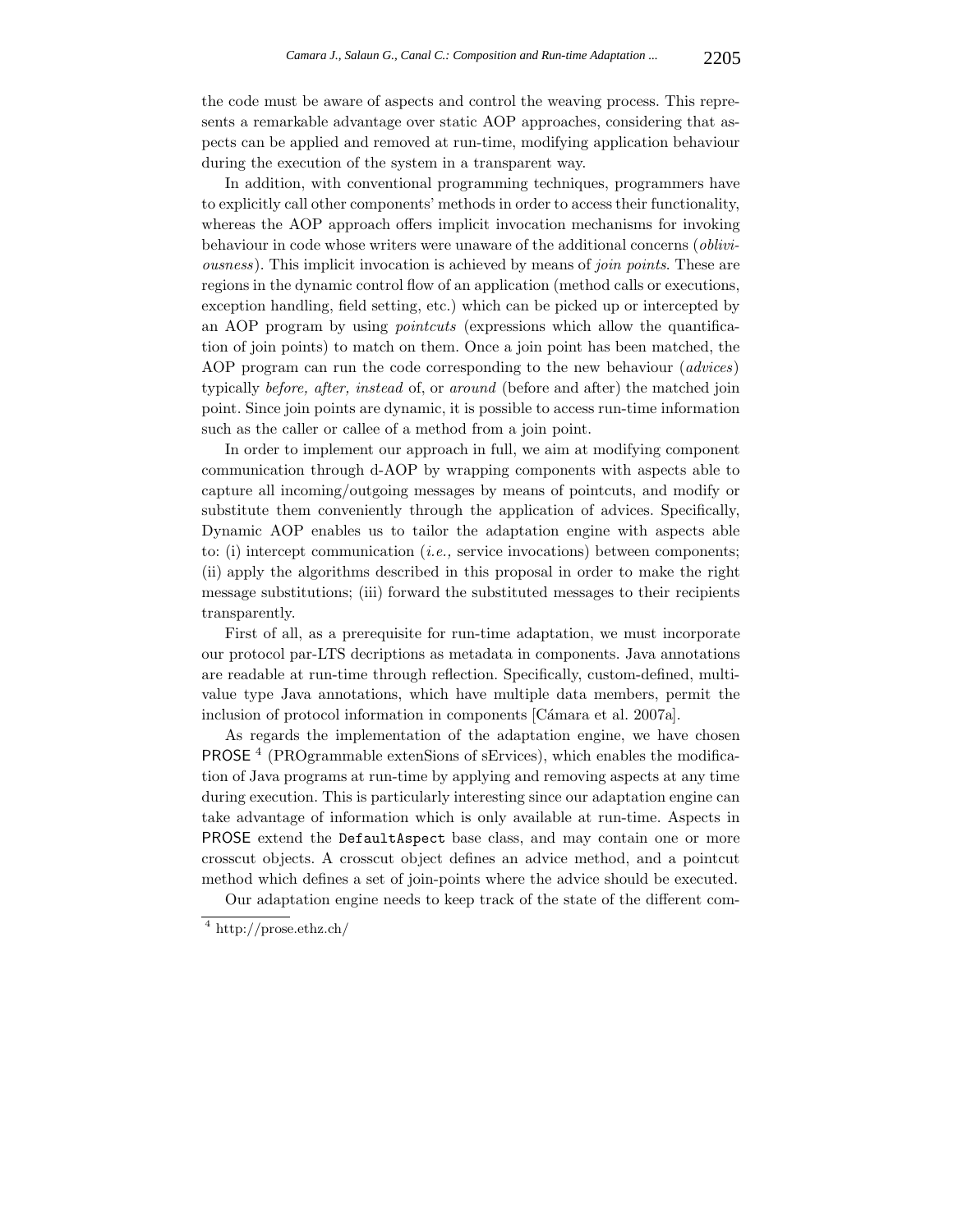the code must be aware of aspects and control the weaving process. This represents a remarkable advantage over static AOP approaches, considering that aspects can be applied and removed at run-time, modifying application behaviour during the execution of the system in a transparent way.

In addition, with conventional programming techniques, programmers have to explicitly call other components' methods in order to access their functionality, whereas the AOP approach offers implicit invocation mechanisms for invoking behaviour in code whose writers were unaware of the additional concerns (*obliviousness*). This implicit invocation is achieved by means of *join points*. These are regions in the dynamic control flow of an application (method calls or executions, exception handling, field setting, etc.) which can be picked up or intercepted by an AOP program by using *pointcuts* (expressions which allow the quantification of join points) to match on them. Once a join point has been matched, the AOP program can run the code corresponding to the new behaviour (*advices*) typically *before, after, instead* of, or *around* (before and after) the matched join point. Since join points are dynamic, it is possible to access run-time information such as the caller or callee of a method from a join point.

In order to implement our approach in full, we aim at modifying component communication through d-AOP by wrapping components with aspects able to capture all incoming/outgoing messages by means of pointcuts, and modify or substitute them conveniently through the application of advices. Specifically, Dynamic AOP enables us to tailor the adaptation engine with aspects able to: (i) intercept communication (*i.e.,* service invocations) between components; (ii) apply the algorithms described in this proposal in order to make the right message substitutions; (iii) forward the substituted messages to their recipients transparently.

First of all, as a prerequisite for run-time adaptation, we must incorporate our protocol par-LTS decriptions as metadata in components. Java annotations are readable at run-time through reflection. Specifically, custom-defined, multivalue type Java annotations, which have multiple data members, permit the inclusion of protocol information in components [Cámara et al. 2007a].

As regards the implementation of the adaptation engine, we have chosen PROSE <sup>4</sup> (PROgrammable extenSions of sErvices), which enables the modification of Java programs at run-time by applying and removing aspects at any time during execution. This is particularly interesting since our adaptation engine can take advantage of information which is only available at run-time. Aspects in PROSE extend the DefaultAspect base class, and may contain one or more crosscut objects. A crosscut object defines an advice method, and a pointcut method which defines a set of join-points where the advice should be executed.

Our adaptation engine needs to keep track of the state of the different com-

<sup>4</sup> http://prose.ethz.ch/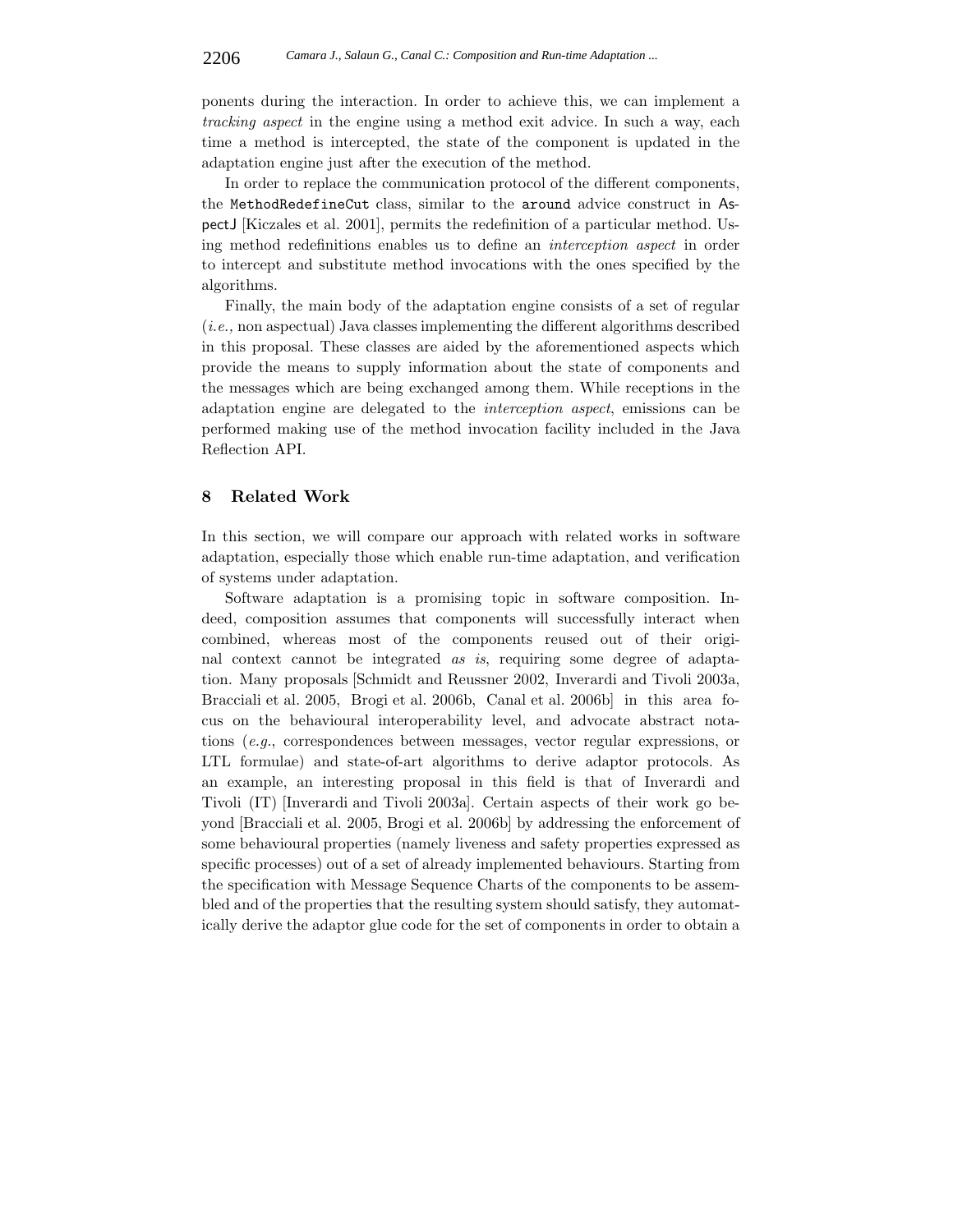ponents during the interaction. In order to achieve this, we can implement a *tracking aspect* in the engine using a method exit advice. In such a way, each time a method is intercepted, the state of the component is updated in the adaptation engine just after the execution of the method.

In order to replace the communication protocol of the different components, the MethodRedefineCut class, similar to the around advice construct in AspectJ [Kiczales et al. 2001], permits the redefinition of a particular method. Using method redefinitions enables us to define an *interception aspect* in order to intercept and substitute method invocations with the ones specified by the algorithms.

Finally, the main body of the adaptation engine consists of a set of regular (*i.e.,* non aspectual) Java classes implementing the different algorithms described in this proposal. These classes are aided by the aforementioned aspects which provide the means to supply information about the state of components and the messages which are being exchanged among them. While receptions in the adaptation engine are delegated to the *interception aspect*, emissions can be performed making use of the method invocation facility included in the Java Reflection API.

#### **8 Related Work**

In this section, we will compare our approach with related works in software adaptation, especially those which enable run-time adaptation, and verification of systems under adaptation.

Software adaptation is a promising topic in software composition. Indeed, composition assumes that components will successfully interact when combined, whereas most of the components reused out of their original context cannot be integrated *as is*, requiring some degree of adaptation. Many proposals [Schmidt and Reussner 2002, Inverardi and Tivoli 2003a, Bracciali et al. 2005, Brogi et al. 2006b, Canal et al. 2006b] in this area focus on the behavioural interoperability level, and advocate abstract notations (*e.g.*, correspondences between messages, vector regular expressions, or LTL formulae) and state-of-art algorithms to derive adaptor protocols. As an example, an interesting proposal in this field is that of Inverardi and Tivoli (IT) [Inverardi and Tivoli 2003a]. Certain aspects of their work go beyond [Bracciali et al. 2005, Brogi et al. 2006b] by addressing the enforcement of some behavioural properties (namely liveness and safety properties expressed as specific processes) out of a set of already implemented behaviours. Starting from the specification with Message Sequence Charts of the components to be assembled and of the properties that the resulting system should satisfy, they automatically derive the adaptor glue code for the set of components in order to obtain a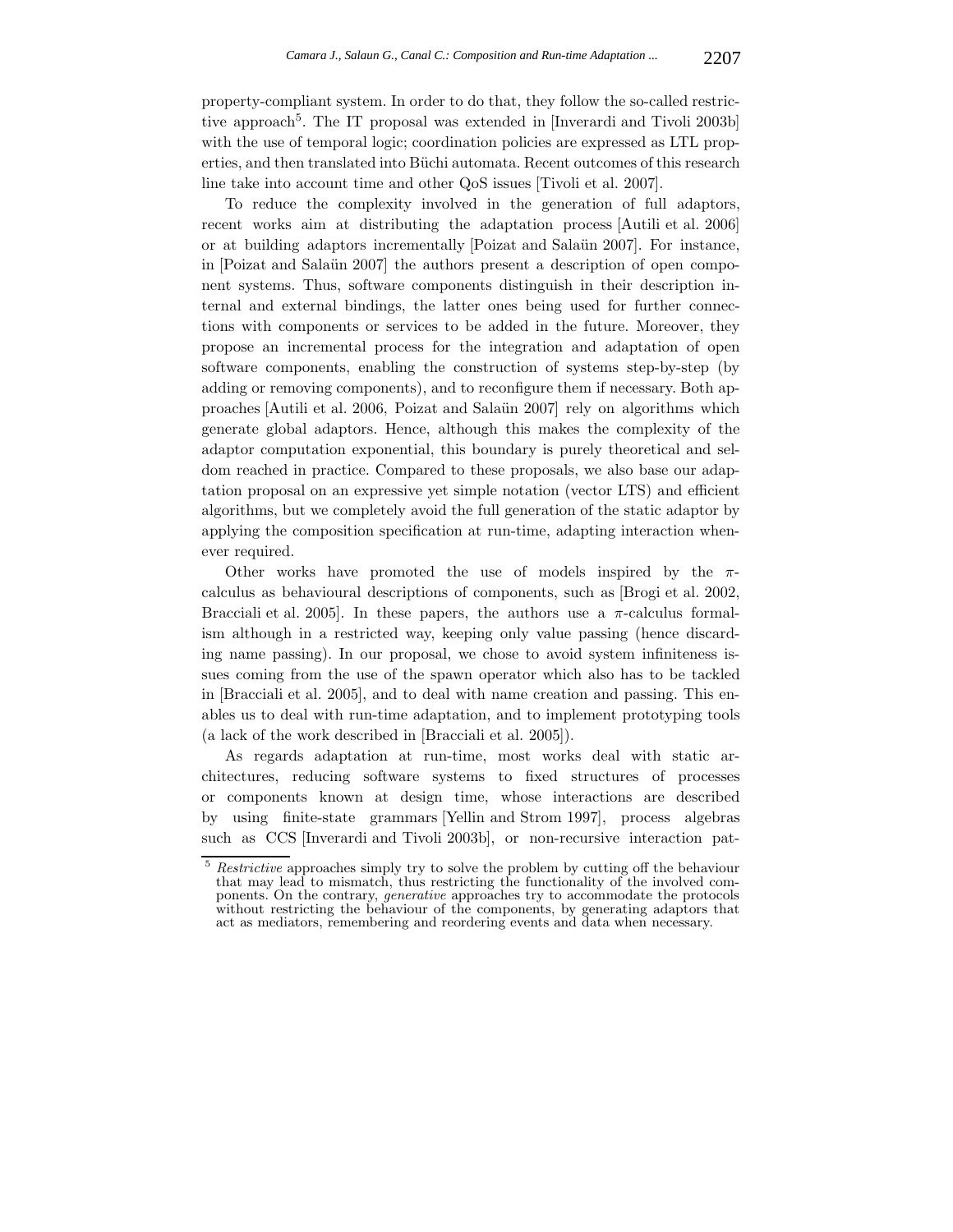property-compliant system. In order to do that, they follow the so-called restrictive approach<sup>5</sup>. The IT proposal was extended in [Inverardi and Tivoli 2003b] with the use of temporal logic; coordination policies are expressed as LTL properties, and then translated into Büchi automata. Recent outcomes of this research line take into account time and other QoS issues [Tivoli et al. 2007].

To reduce the complexity involved in the generation of full adaptors, recent works aim at distributing the adaptation process [Autili et al. 2006] or at building adaptors incrementally [Poizat and Salaün 2007]. For instance, in [Poizat and Salaün 2007] the authors present a description of open component systems. Thus, software components distinguish in their description internal and external bindings, the latter ones being used for further connections with components or services to be added in the future. Moreover, they propose an incremental process for the integration and adaptation of open software components, enabling the construction of systems step-by-step (by adding or removing components), and to reconfigure them if necessary. Both approaches [Autili et al. 2006, Poizat and Salaün 2007] rely on algorithms which generate global adaptors. Hence, although this makes the complexity of the adaptor computation exponential, this boundary is purely theoretical and seldom reached in practice. Compared to these proposals, we also base our adaptation proposal on an expressive yet simple notation (vector LTS) and efficient algorithms, but we completely avoid the full generation of the static adaptor by applying the composition specification at run-time, adapting interaction whenever required.

Other works have promoted the use of models inspired by the  $\pi$ calculus as behavioural descriptions of components, such as [Brogi et al. 2002, Bracciali et al. 2005]. In these papers, the authors use a  $\pi$ -calculus formalism although in a restricted way, keeping only value passing (hence discarding name passing). In our proposal, we chose to avoid system infiniteness issues coming from the use of the spawn operator which also has to be tackled in [Bracciali et al. 2005], and to deal with name creation and passing. This enables us to deal with run-time adaptation, and to implement prototyping tools (a lack of the work described in [Bracciali et al. 2005]).

As regards adaptation at run-time, most works deal with static architectures, reducing software systems to fixed structures of processes or components known at design time, whose interactions are described by using finite-state grammars [Yellin and Strom 1997], process algebras such as CCS [Inverardi and Tivoli 2003b], or non-recursive interaction pat-

<sup>5</sup> Restrictive approaches simply try to solve the problem by cutting off the behaviour that may lead to mismatch, thus restricting the functionality of the involved components. On the contrary, generative approaches try to accommodate the protocols without restricting the behaviour of the components, by generating adaptors that act as mediators, remembering and reordering events and data when necessary.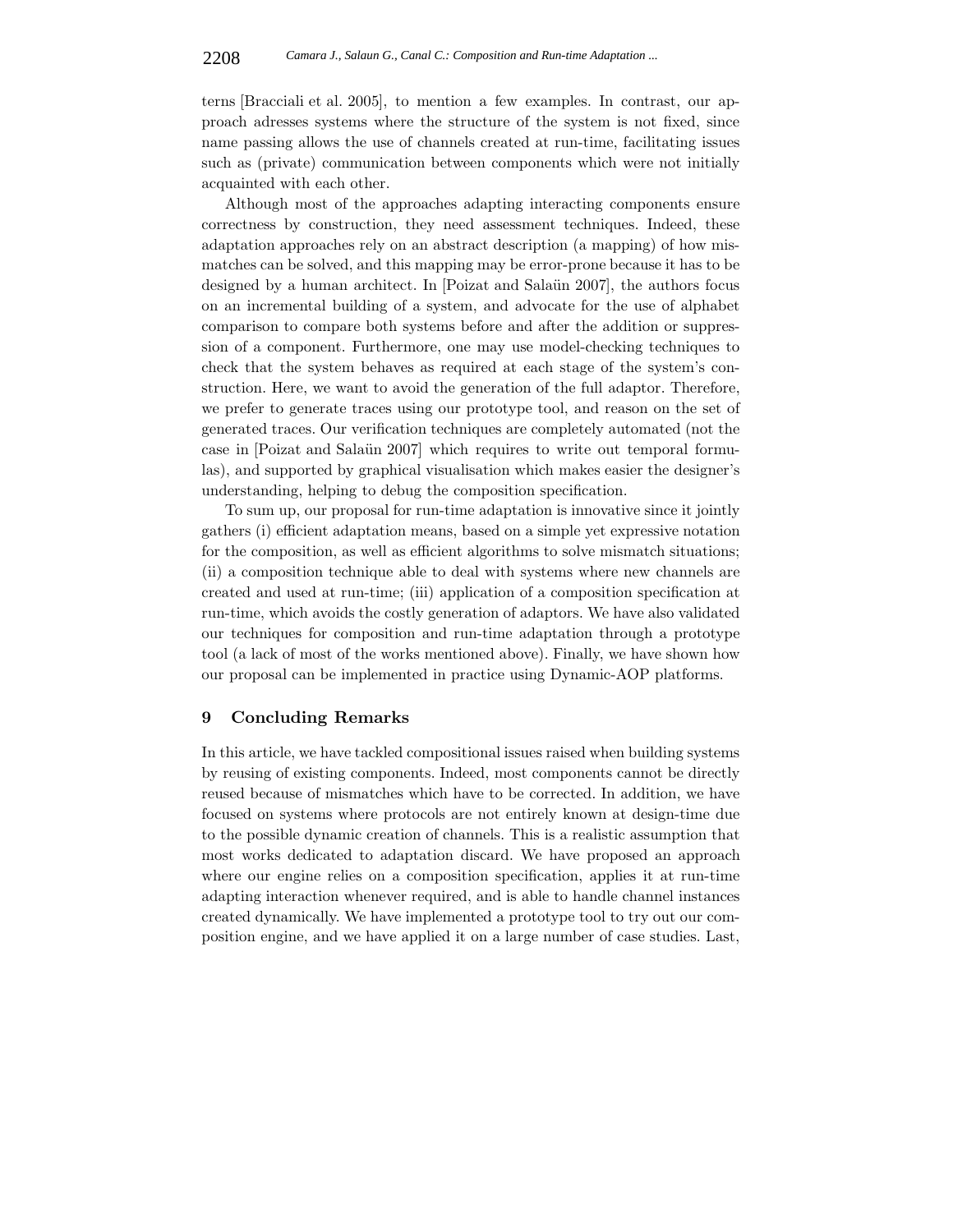terns [Bracciali et al. 2005], to mention a few examples. In contrast, our approach adresses systems where the structure of the system is not fixed, since name passing allows the use of channels created at run-time, facilitating issues such as (private) communication between components which were not initially acquainted with each other.

Although most of the approaches adapting interacting components ensure correctness by construction, they need assessment techniques. Indeed, these adaptation approaches rely on an abstract description (a mapping) of how mismatches can be solved, and this mapping may be error-prone because it has to be designed by a human architect. In [Poizat and Salaün 2007], the authors focus on an incremental building of a system, and advocate for the use of alphabet comparison to compare both systems before and after the addition or suppression of a component. Furthermore, one may use model-checking techniques to check that the system behaves as required at each stage of the system's construction. Here, we want to avoid the generation of the full adaptor. Therefore, we prefer to generate traces using our prototype tool, and reason on the set of generated traces. Our verification techniques are completely automated (not the case in [Poizat and Salaün 2007] which requires to write out temporal formulas), and supported by graphical visualisation which makes easier the designer's understanding, helping to debug the composition specification.

To sum up, our proposal for run-time adaptation is innovative since it jointly gathers (i) efficient adaptation means, based on a simple yet expressive notation for the composition, as well as efficient algorithms to solve mismatch situations; (ii) a composition technique able to deal with systems where new channels are created and used at run-time; (iii) application of a composition specification at run-time, which avoids the costly generation of adaptors. We have also validated our techniques for composition and run-time adaptation through a prototype tool (a lack of most of the works mentioned above). Finally, we have shown how our proposal can be implemented in practice using Dynamic-AOP platforms.

## **9 Concluding Remarks**

In this article, we have tackled compositional issues raised when building systems by reusing of existing components. Indeed, most components cannot be directly reused because of mismatches which have to be corrected. In addition, we have focused on systems where protocols are not entirely known at design-time due to the possible dynamic creation of channels. This is a realistic assumption that most works dedicated to adaptation discard. We have proposed an approach where our engine relies on a composition specification, applies it at run-time adapting interaction whenever required, and is able to handle channel instances created dynamically. We have implemented a prototype tool to try out our composition engine, and we have applied it on a large number of case studies. Last,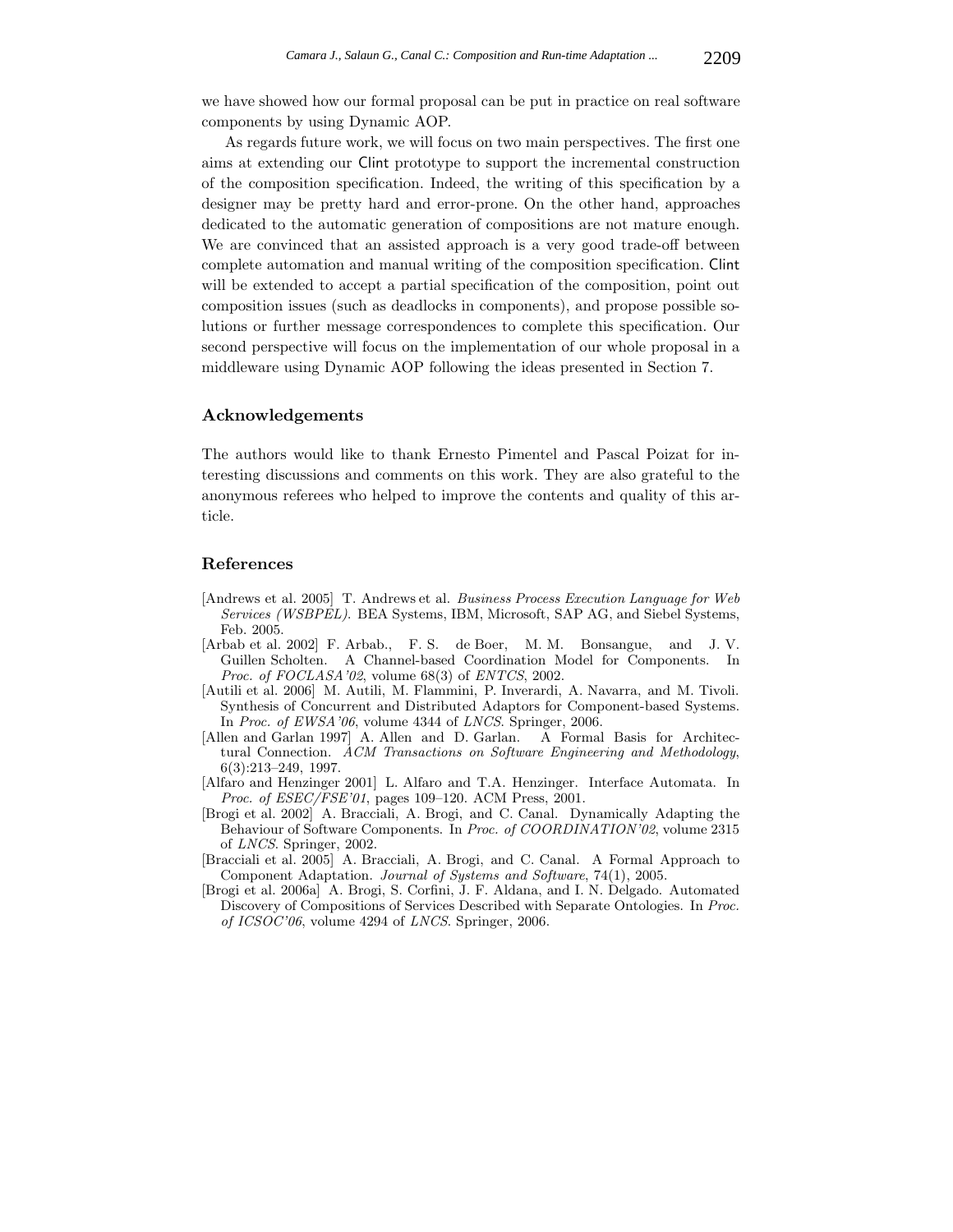we have showed how our formal proposal can be put in practice on real software components by using Dynamic AOP.

As regards future work, we will focus on two main perspectives. The first one aims at extending our Clint prototype to support the incremental construction of the composition specification. Indeed, the writing of this specification by a designer may be pretty hard and error-prone. On the other hand, approaches dedicated to the automatic generation of compositions are not mature enough. We are convinced that an assisted approach is a very good trade-off between complete automation and manual writing of the composition specification. Clint will be extended to accept a partial specification of the composition, point out composition issues (such as deadlocks in components), and propose possible solutions or further message correspondences to complete this specification. Our second perspective will focus on the implementation of our whole proposal in a middleware using Dynamic AOP following the ideas presented in Section 7.

#### **Acknowledgements**

The authors would like to thank Ernesto Pimentel and Pascal Poizat for interesting discussions and comments on this work. They are also grateful to the anonymous referees who helped to improve the contents and quality of this article.

## **References**

- [Andrews et al. 2005] T. Andrews et al. Business Process Execution Language for Web Services (WSBPEL). BEA Systems, IBM, Microsoft, SAP AG, and Siebel Systems, Feb. 2005.
- [Arbab et al. 2002] F. Arbab., F. S. de Boer, M. M. Bonsangue, and J. V. Guillen Scholten. A Channel-based Coordination Model for Components. In Proc. of FOCLASA'02, volume 68(3) of ENTCS, 2002.
- [Autili et al. 2006] M. Autili, M. Flammini, P. Inverardi, A. Navarra, and M. Tivoli. Synthesis of Concurrent and Distributed Adaptors for Component-based Systems. In Proc. of EWSA'06, volume 4344 of LNCS. Springer, 2006.
- [Allen and Garlan 1997] A. Allen and D. Garlan. A Formal Basis for Architectural Connection. ACM Transactions on Software Engineering and Methodology, 6(3):213–249, 1997.
- [Alfaro and Henzinger 2001] L. Alfaro and T.A. Henzinger. Interface Automata. In Proc. of ESEC/FSE'01, pages 109–120. ACM Press, 2001.
- [Brogi et al. 2002] A. Bracciali, A. Brogi, and C. Canal. Dynamically Adapting the Behaviour of Software Components. In Proc. of COORDINATION'02, volume 2315 of LNCS. Springer, 2002.
- [Bracciali et al. 2005] A. Bracciali, A. Brogi, and C. Canal. A Formal Approach to Component Adaptation. Journal of Systems and Software, 74(1), 2005.
- [Brogi et al. 2006a] A. Brogi, S. Corfini, J. F. Aldana, and I. N. Delgado. Automated Discovery of Compositions of Services Described with Separate Ontologies. In Proc. of ICSOC'06, volume 4294 of LNCS. Springer, 2006.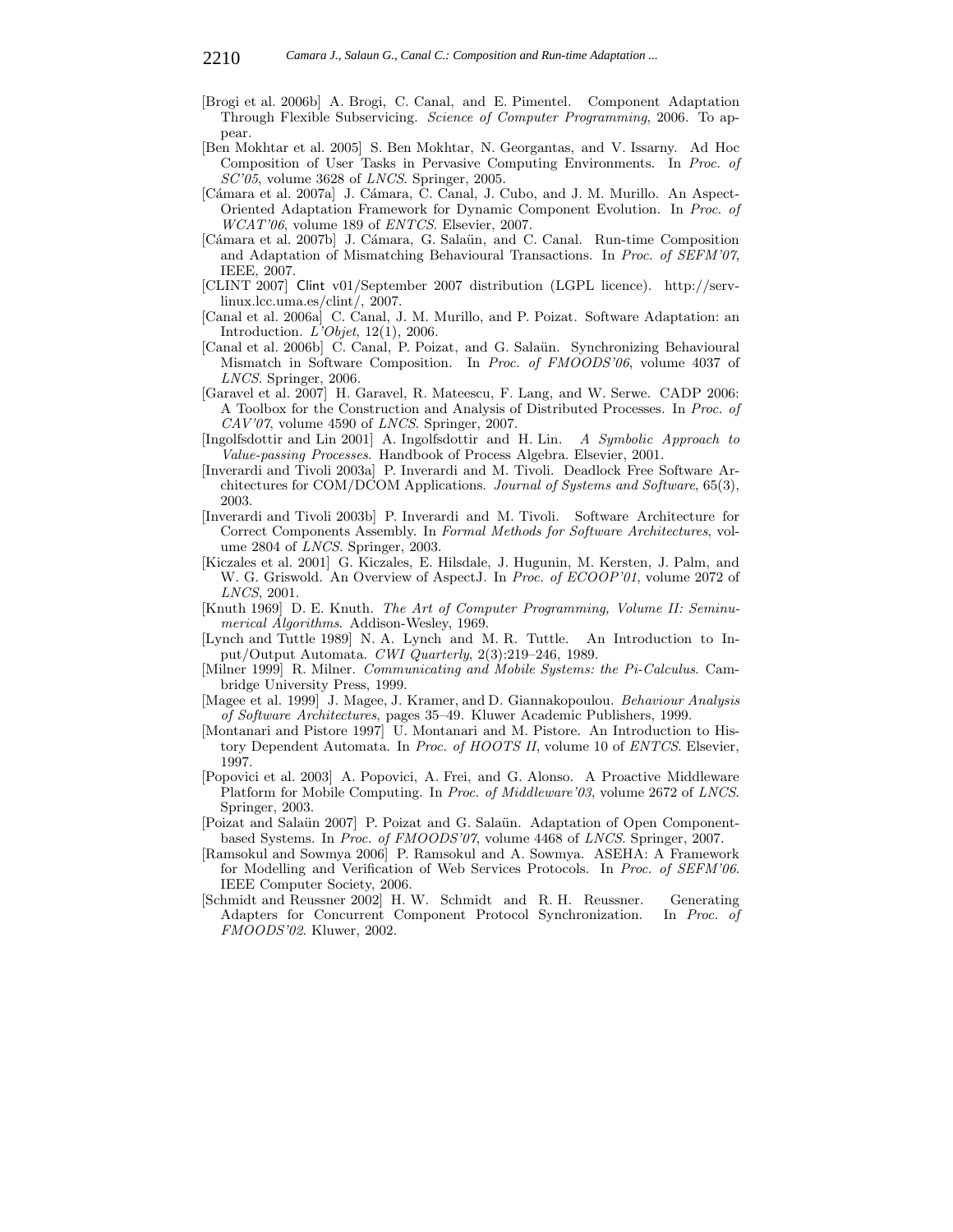- [Brogi et al. 2006b] A. Brogi, C. Canal, and E. Pimentel. Component Adaptation Through Flexible Subservicing. Science of Computer Programming, 2006. To appear.
- [Ben Mokhtar et al. 2005] S. Ben Mokhtar, N. Georgantas, and V. Issarny. Ad Hoc Composition of User Tasks in Pervasive Computing Environments. In Proc. of SC'05, volume 3628 of LNCS. Springer, 2005.
- [Cámara et al. 2007a] J. Cámara, C. Canal, J. Cubo, and J. M. Murillo. An Aspect-Oriented Adaptation Framework for Dynamic Component Evolution. In Proc. of WCAT'06, volume 189 of ENTCS. Elsevier, 2007.
- [C´amara et al. 2007b] J. C´amara, G. Sala¨un, and C. Canal. Run-time Composition and Adaptation of Mismatching Behavioural Transactions. In Proc. of SEFM'07, IEEE, 2007.
- [CLINT 2007] Clint v01/September 2007 distribution (LGPL licence). http://servlinux.lcc.uma.es/clint/, 2007.
- [Canal et al. 2006a] C. Canal, J. M. Murillo, and P. Poizat. Software Adaptation: an Introduction. L'Objet, 12(1), 2006.
- [Canal et al. 2006b] C. Canal, P. Poizat, and G. Sala¨un. Synchronizing Behavioural Mismatch in Software Composition. In Proc. of FMOODS'06, volume 4037 of LNCS. Springer, 2006.
- [Garavel et al. 2007] H. Garavel, R. Mateescu, F. Lang, and W. Serwe. CADP 2006: A Toolbox for the Construction and Analysis of Distributed Processes. In Proc. of CAV'07, volume 4590 of LNCS. Springer, 2007.
- [Ingolfsdottir and Lin 2001] A. Ingolfsdottir and H. Lin. A Symbolic Approach to Value-passing Processes. Handbook of Process Algebra. Elsevier, 2001.
- [Inverardi and Tivoli 2003a] P. Inverardi and M. Tivoli. Deadlock Free Software Architectures for COM/DCOM Applications. Journal of Systems and Software, 65(3), 2003.
- [Inverardi and Tivoli 2003b] P. Inverardi and M. Tivoli. Software Architecture for Correct Components Assembly. In Formal Methods for Software Architectures, volume 2804 of LNCS. Springer, 2003.
- [Kiczales et al. 2001] G. Kiczales, E. Hilsdale, J. Hugunin, M. Kersten, J. Palm, and W. G. Griswold. An Overview of AspectJ. In *Proc. of ECOOP'01*, volume 2072 of LNCS, 2001.
- [Knuth 1969] D. E. Knuth. The Art of Computer Programming, Volume II: Seminumerical Algorithms. Addison-Wesley, 1969.
- [Lynch and Tuttle 1989] N. A. Lynch and M. R. Tuttle. An Introduction to Input/Output Automata. CWI Quarterly, 2(3):219–246, 1989.
- [Milner 1999] R. Milner. Communicating and Mobile Systems: the Pi-Calculus. Cambridge University Press, 1999.
- [Magee et al. 1999] J. Magee, J. Kramer, and D. Giannakopoulou. Behaviour Analysis of Software Architectures, pages 35–49. Kluwer Academic Publishers, 1999.
- [Montanari and Pistore 1997] U. Montanari and M. Pistore. An Introduction to History Dependent Automata. In Proc. of HOOTS II, volume 10 of ENTCS. Elsevier, 1997.
- [Popovici et al. 2003] A. Popovici, A. Frei, and G. Alonso. A Proactive Middleware Platform for Mobile Computing. In Proc. of Middleware'03, volume 2672 of LNCS. Springer, 2003.
- [Poizat and Salaün 2007] P. Poizat and G. Salaün. Adaptation of Open Componentbased Systems. In Proc. of FMOODS'07, volume 4468 of LNCS. Springer, 2007.
- [Ramsokul and Sowmya 2006] P. Ramsokul and A. Sowmya. ASEHA: A Framework for Modelling and Verification of Web Services Protocols. In Proc. of SEFM'06. IEEE Computer Society, 2006.
- [Schmidt and Reussner 2002] H. W. Schmidt and R. H. Reussner. Generating Adapters for Concurrent Component Protocol Synchronization. In Proc. of FMOODS'02. Kluwer, 2002.